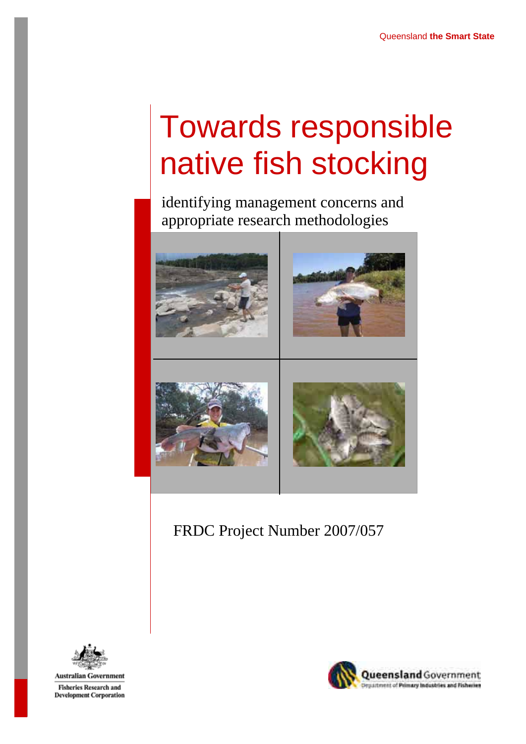# Towards responsible native fish stocking

identifying management concerns and appropriate research methodologies



# FRDC Project Number 2007/057



**Fisheries Research and Development Corporation** 

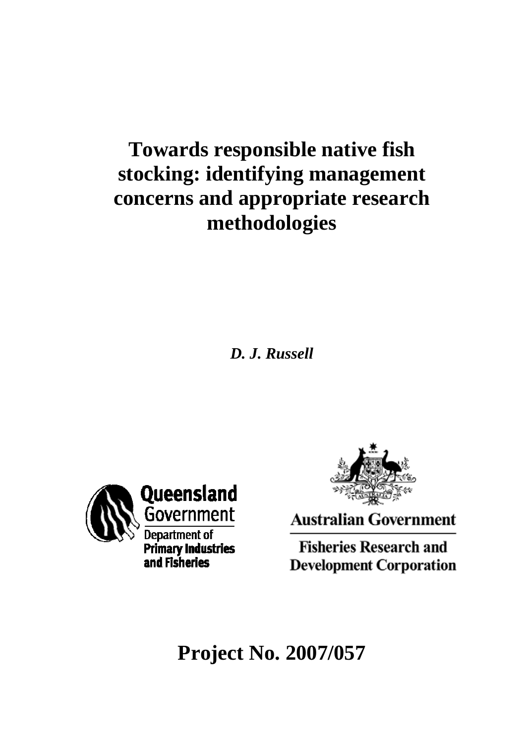# **Towards responsible native fish stocking: identifying management concerns and appropriate research methodologies**

*D. J. Russell* 





**Australian Government** 

**Fisheries Research and Development Corporation** 

**Project No. 2007/057**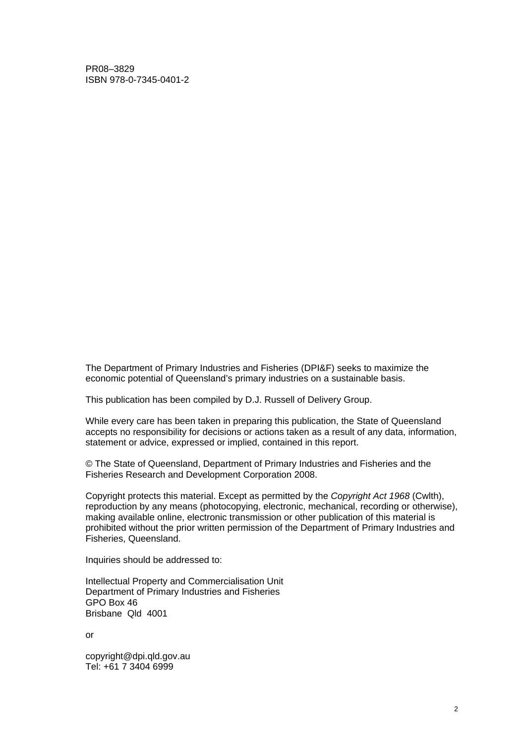PR08–3829 ISBN 978-0-7345-0401-2

The Department of Primary Industries and Fisheries (DPI&F) seeks to maximize the economic potential of Queensland's primary industries on a sustainable basis.

This publication has been compiled by D.J. Russell of Delivery Group.

While every care has been taken in preparing this publication, the State of Queensland accepts no responsibility for decisions or actions taken as a result of any data, information, statement or advice, expressed or implied, contained in this report.

© The State of Queensland, Department of Primary Industries and Fisheries and the Fisheries Research and Development Corporation 2008.

Copyright protects this material. Except as permitted by the *Copyright Act 1968* (Cwlth), reproduction by any means (photocopying, electronic, mechanical, recording or otherwise), making available online, electronic transmission or other publication of this material is prohibited without the prior written permission of the Department of Primary Industries and Fisheries, Queensland.

Inquiries should be addressed to:

Intellectual Property and Commercialisation Unit Department of Primary Industries and Fisheries GPO Box 46 Brisbane Qld 4001

or

[copyright@dpi.qld.gov.au](mailto:copyright@dpi.qld.gov.au)  Tel: +61 7 3404 6999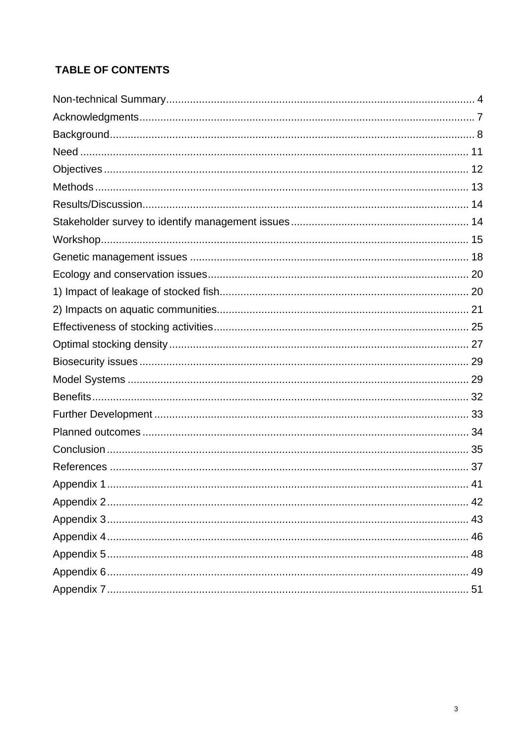# **TABLE OF CONTENTS**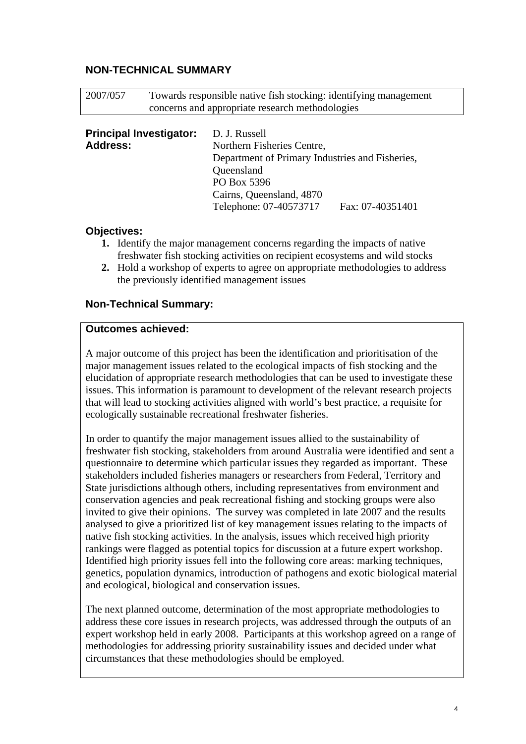#### <span id="page-4-0"></span>**NON-TECHNICAL SUMMARY**

| 2007/057                                          | Towards responsible native fish stocking: identifying management<br>concerns and appropriate research methodologies |                                                                                                                                                                                   |                  |
|---------------------------------------------------|---------------------------------------------------------------------------------------------------------------------|-----------------------------------------------------------------------------------------------------------------------------------------------------------------------------------|------------------|
| <b>Principal Investigator:</b><br><b>Address:</b> |                                                                                                                     | D. J. Russell<br>Northern Fisheries Centre,<br>Department of Primary Industries and Fisheries,<br>Queensland<br>PO Box 5396<br>Cairns, Queensland, 4870<br>Telephone: 07-40573717 | Fax: 07-40351401 |

#### **Objectives:**

- **1.** Identify the major management concerns regarding the impacts of native freshwater fish stocking activities on recipient ecosystems and wild stocks
- **2.** Hold a workshop of experts to agree on appropriate methodologies to address the previously identified management issues

#### **Non-Technical Summary:**

#### **Outcomes achieved:**

A major outcome of this project has been the identification and prioritisation of the major management issues related to the ecological impacts of fish stocking and the elucidation of appropriate research methodologies that can be used to investigate these issues. This information is paramount to development of the relevant research projects that will lead to stocking activities aligned with world's best practice, a requisite for ecologically sustainable recreational freshwater fisheries.

In order to quantify the major management issues allied to the sustainability of freshwater fish stocking, stakeholders from around Australia were identified and sent a questionnaire to determine which particular issues they regarded as important. These stakeholders included fisheries managers or researchers from Federal, Territory and State jurisdictions although others, including representatives from environment and conservation agencies and peak recreational fishing and stocking groups were also invited to give their opinions. The survey was completed in late 2007 and the results analysed to give a prioritized list of key management issues relating to the impacts of native fish stocking activities. In the analysis, issues which received high priority rankings were flagged as potential topics for discussion at a future expert workshop. Identified high priority issues fell into the following core areas: marking techniques, genetics, population dynamics, introduction of pathogens and exotic biological material and ecological, biological and conservation issues.

The next planned outcome, determination of the most appropriate methodologies to address these core issues in research projects, was addressed through the outputs of an expert workshop held in early 2008. Participants at this workshop agreed on a range of methodologies for addressing priority sustainability issues and decided under what circumstances that these methodologies should be employed.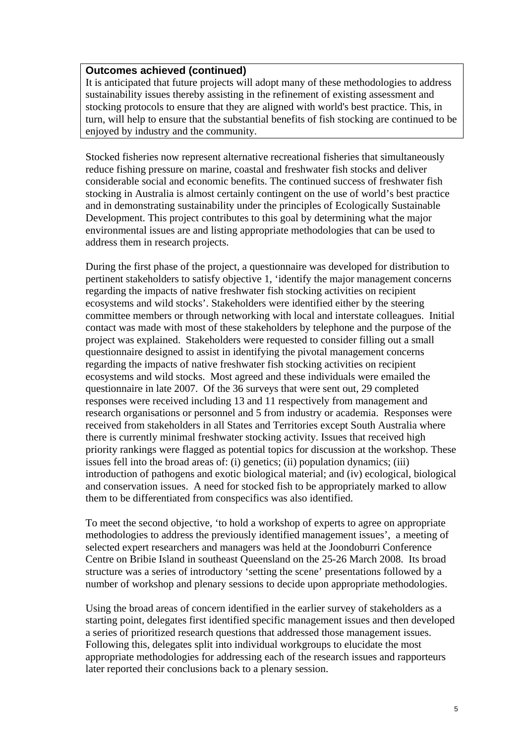#### **Outcomes achieved (continued)**

It is anticipated that future projects will adopt many of these methodologies to address sustainability issues thereby assisting in the refinement of existing assessment and stocking protocols to ensure that they are aligned with world's best practice. This, in turn, will help to ensure that the substantial benefits of fish stocking are continued to be enjoyed by industry and the community.

Stocked fisheries now represent alternative recreational fisheries that simultaneously reduce fishing pressure on marine, coastal and freshwater fish stocks and deliver considerable social and economic benefits. The continued success of freshwater fish stocking in Australia is almost certainly contingent on the use of world's best practice and in demonstrating sustainability under the principles of Ecologically Sustainable Development. This project contributes to this goal by determining what the major environmental issues are and listing appropriate methodologies that can be used to address them in research projects.

During the first phase of the project, a questionnaire was developed for distribution to pertinent stakeholders to satisfy objective 1, 'identify the major management concerns regarding the impacts of native freshwater fish stocking activities on recipient ecosystems and wild stocks'. Stakeholders were identified either by the steering committee members or through networking with local and interstate colleagues. Initial contact was made with most of these stakeholders by telephone and the purpose of the project was explained. Stakeholders were requested to consider filling out a small questionnaire designed to assist in identifying the pivotal management concerns regarding the impacts of native freshwater fish stocking activities on recipient ecosystems and wild stocks. Most agreed and these individuals were emailed the questionnaire in late 2007. Of the 36 surveys that were sent out, 29 completed responses were received including 13 and 11 respectively from management and research organisations or personnel and 5 from industry or academia. Responses were received from stakeholders in all States and Territories except South Australia where there is currently minimal freshwater stocking activity. Issues that received high priority rankings were flagged as potential topics for discussion at the workshop. These issues fell into the broad areas of: (i) genetics; (ii) population dynamics; (iii) introduction of pathogens and exotic biological material; and (iv) ecological, biological and conservation issues. A need for stocked fish to be appropriately marked to allow them to be differentiated from conspecifics was also identified.

To meet the second objective, 'to hold a workshop of experts to agree on appropriate methodologies to address the previously identified management issues', a meeting of selected expert researchers and managers was held at the Joondoburri Conference Centre on Bribie Island in southeast Queensland on the 25-26 March 2008. Its broad structure was a series of introductory 'setting the scene' presentations followed by a number of workshop and plenary sessions to decide upon appropriate methodologies.

Using the broad areas of concern identified in the earlier survey of stakeholders as a starting point, delegates first identified specific management issues and then developed a series of prioritized research questions that addressed those management issues. Following this, delegates split into individual workgroups to elucidate the most appropriate methodologies for addressing each of the research issues and rapporteurs later reported their conclusions back to a plenary session.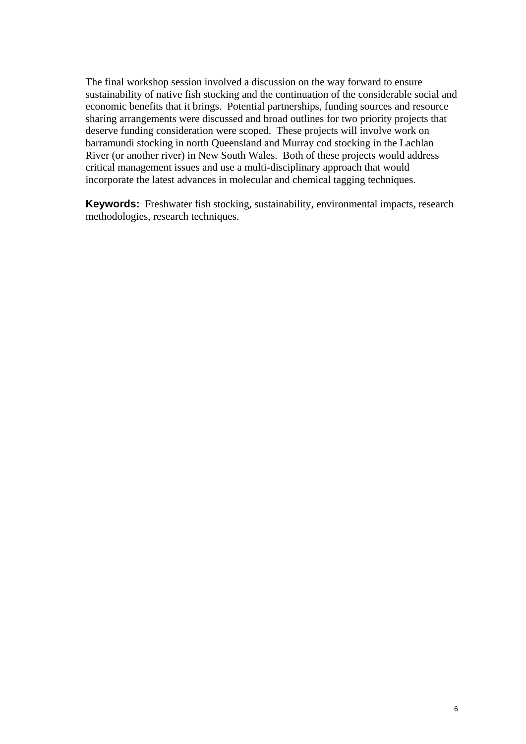The final workshop session involved a discussion on the way forward to ensure sustainability of native fish stocking and the continuation of the considerable social and economic benefits that it brings. Potential partnerships, funding sources and resource sharing arrangements were discussed and broad outlines for two priority projects that deserve funding consideration were scoped. These projects will involve work on barramundi stocking in north Queensland and Murray cod stocking in the Lachlan River (or another river) in New South Wales. Both of these projects would address critical management issues and use a multi-disciplinary approach that would incorporate the latest advances in molecular and chemical tagging techniques.

**Keywords:** Freshwater fish stocking, sustainability, environmental impacts, research methodologies, research techniques.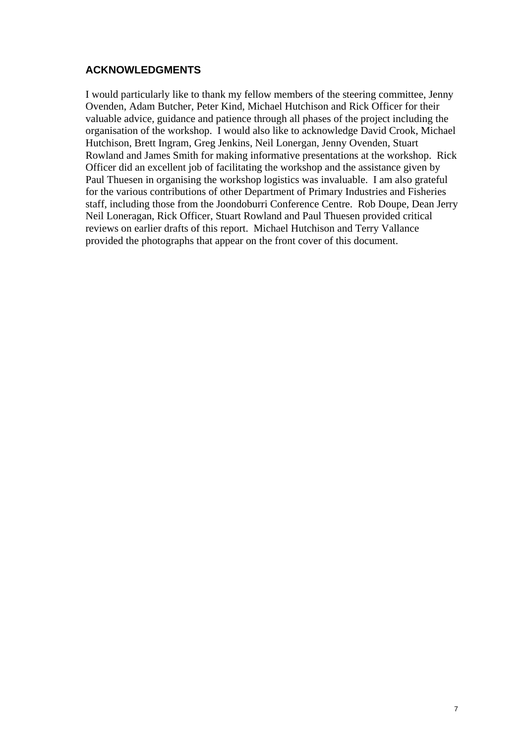#### <span id="page-7-0"></span>**ACKNOWLEDGMENTS**

I would particularly like to thank my fellow members of the steering committee, Jenny Ovenden, Adam Butcher, Peter Kind, Michael Hutchison and Rick Officer for their valuable advice, guidance and patience through all phases of the project including the organisation of the workshop. I would also like to acknowledge David Crook, Michael Hutchison, Brett Ingram, Greg Jenkins, Neil Lonergan, Jenny Ovenden, Stuart Rowland and James Smith for making informative presentations at the workshop. Rick Officer did an excellent job of facilitating the workshop and the assistance given by Paul Thuesen in organising the workshop logistics was invaluable. I am also grateful for the various contributions of other Department of Primary Industries and Fisheries staff, including those from the Joondoburri Conference Centre. Rob Doupe, Dean Jerry Neil Loneragan, Rick Officer, Stuart Rowland and Paul Thuesen provided critical reviews on earlier drafts of this report. Michael Hutchison and Terry Vallance provided the photographs that appear on the front cover of this document.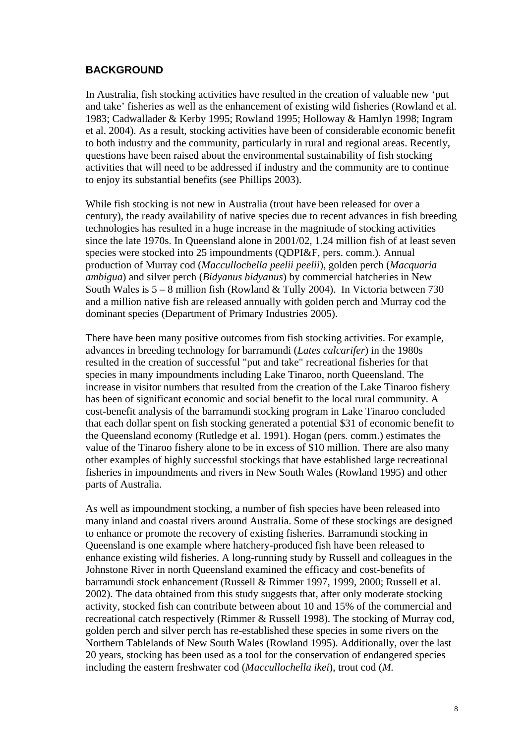#### <span id="page-8-0"></span>**BACKGROUND**

In Australia, fish stocking activities have resulted in the creation of valuable new 'put and take' fisheries as well as the enhancement of existing wild fisheries (Rowland et al. 1983; Cadwallader & Kerby 1995; Rowland 1995; Holloway & Hamlyn 1998; Ingram et al. 2004). As a result, stocking activities have been of considerable economic benefit to both industry and the community, particularly in rural and regional areas. Recently, questions have been raised about the environmental sustainability of fish stocking activities that will need to be addressed if industry and the community are to continue to enjoy its substantial benefits (see Phillips 2003).

While fish stocking is not new in Australia (trout have been released for over a century), the ready availability of native species due to recent advances in fish breeding technologies has resulted in a huge increase in the magnitude of stocking activities since the late 1970s. In Queensland alone in 2001/02, 1.24 million fish of at least seven species were stocked into 25 impoundments (QDPI&F, pers. comm.). Annual production of Murray cod (*Maccullochella peelii peelii*), golden perch (*Macquaria ambigua*) and silver perch (*Bidyanus bidyanus*) by commercial hatcheries in New South Wales is  $5 - 8$  million fish (Rowland & Tully 2004). In Victoria between 730 and a million native fish are released annually with golden perch and Murray cod the dominant species (Department of Primary Industries 2005).

There have been many positive outcomes from fish stocking activities. For example, advances in breeding technology for barramundi (*Lates calcarifer*) in the 1980s resulted in the creation of successful "put and take" recreational fisheries for that species in many impoundments including Lake Tinaroo, north Queensland. The increase in visitor numbers that resulted from the creation of the Lake Tinaroo fishery has been of significant economic and social benefit to the local rural community. A cost-benefit analysis of the barramundi stocking program in Lake Tinaroo concluded that each dollar spent on fish stocking generated a potential \$31 of economic benefit to the Queensland economy (Rutledge et al. 1991). Hogan (pers. comm.) estimates the value of the Tinaroo fishery alone to be in excess of \$10 million. There are also many other examples of highly successful stockings that have established large recreational fisheries in impoundments and rivers in New South Wales (Rowland 1995) and other parts of Australia.

As well as impoundment stocking, a number of fish species have been released into many inland and coastal rivers around Australia. Some of these stockings are designed to enhance or promote the recovery of existing fisheries. Barramundi stocking in Queensland is one example where hatchery-produced fish have been released to enhance existing wild fisheries. A long-running study by Russell and colleagues in the Johnstone River in north Queensland examined the efficacy and cost-benefits of barramundi stock enhancement (Russell & Rimmer 1997, 1999, 2000; Russell et al. 2002). The data obtained from this study suggests that, after only moderate stocking activity, stocked fish can contribute between about 10 and 15% of the commercial and recreational catch respectively (Rimmer & Russell 1998). The stocking of Murray cod, golden perch and silver perch has re-established these species in some rivers on the Northern Tablelands of New South Wales (Rowland 1995). Additionally, over the last 20 years, stocking has been used as a tool for the conservation of endangered species including the eastern freshwater cod (*Maccullochella ikei*), trout cod (*M.*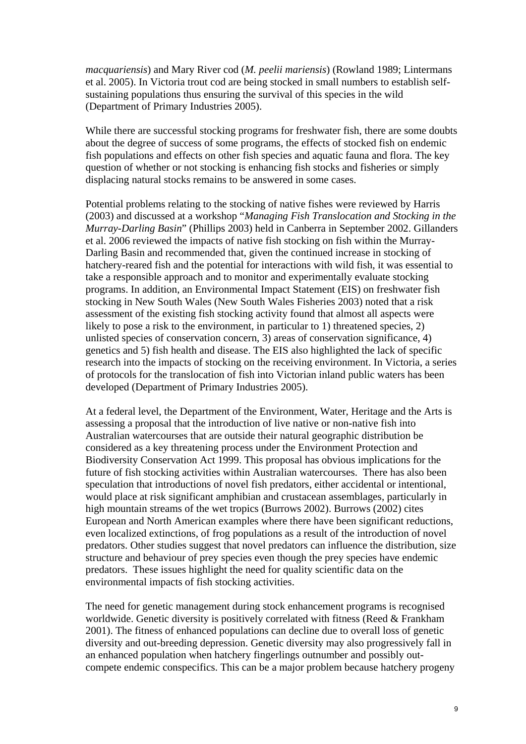*macquariensis*) and Mary River cod (*M. peelii mariensis*) (Rowland 1989; Lintermans et al. 2005). In Victoria trout cod are being stocked in small numbers to establish selfsustaining populations thus ensuring the survival of this species in the wild (Department of Primary Industries 2005).

While there are successful stocking programs for freshwater fish, there are some doubts about the degree of success of some programs, the effects of stocked fish on endemic fish populations and effects on other fish species and aquatic fauna and flora. The key question of whether or not stocking is enhancing fish stocks and fisheries or simply displacing natural stocks remains to be answered in some cases.

Potential problems relating to the stocking of native fishes were reviewed by Harris (2003) and discussed at a workshop "*Managing Fish Translocation and Stocking in the Murray-Darling Basin*" (Phillips 2003) held in Canberra in September 2002. Gillanders et al. 2006 reviewed the impacts of native fish stocking on fish within the Murray-Darling Basin and recommended that, given the continued increase in stocking of hatchery-reared fish and the potential for interactions with wild fish, it was essential to take a responsible approach and to monitor and experimentally evaluate stocking programs. In addition, an Environmental Impact Statement (EIS) on freshwater fish stocking in New South Wales (New South Wales Fisheries 2003) noted that a risk assessment of the existing fish stocking activity found that almost all aspects were likely to pose a risk to the environment, in particular to 1) threatened species, 2) unlisted species of conservation concern, 3) areas of conservation significance, 4) genetics and 5) fish health and disease. The EIS also highlighted the lack of specific research into the impacts of stocking on the receiving environment. In Victoria, a series of protocols for the translocation of fish into Victorian inland public waters has been developed (Department of Primary Industries 2005).

At a federal level, the Department of the Environment, Water, Heritage and the Arts is assessing a proposal that the introduction of live native or non-native fish into Australian watercourses that are outside their natural geographic distribution be considered as a key threatening process under the Environment Protection and Biodiversity Conservation Act 1999. This proposal has obvious implications for the future of fish stocking activities within Australian watercourses. There has also been speculation that introductions of novel fish predators, either accidental or intentional, would place at risk significant amphibian and crustacean assemblages, particularly in high mountain streams of the wet tropics (Burrows 2002). Burrows (2002) cites European and North American examples where there have been significant reductions, even localized extinctions, of frog populations as a result of the introduction of novel predators. Other studies suggest that novel predators can influence the distribution, size structure and behaviour of prey species even though the prey species have endemic predators. These issues highlight the need for quality scientific data on the environmental impacts of fish stocking activities.

The need for genetic management during stock enhancement programs is recognised worldwide. Genetic diversity is positively correlated with fitness (Reed & Frankham 2001). The fitness of enhanced populations can decline due to overall loss of genetic diversity and out-breeding depression. Genetic diversity may also progressively fall in an enhanced population when hatchery fingerlings outnumber and possibly outcompete endemic conspecifics. This can be a major problem because hatchery progeny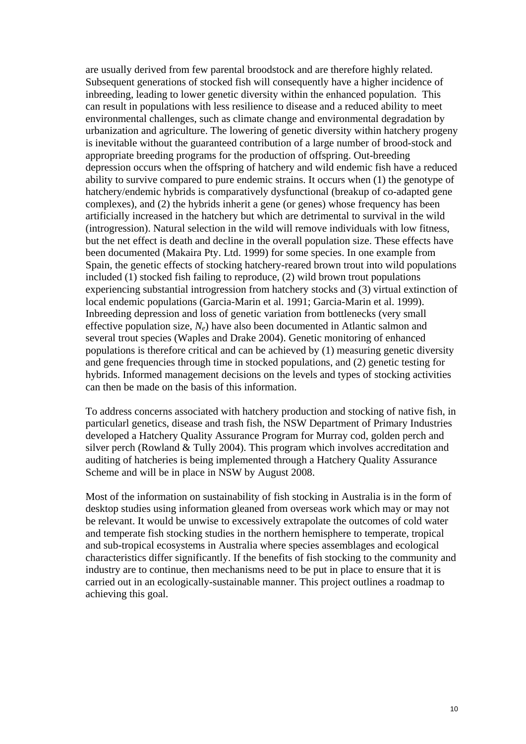are usually derived from few parental broodstock and are therefore highly related. Subsequent generations of stocked fish will consequently have a higher incidence of inbreeding, leading to lower genetic diversity within the enhanced population. This can result in populations with less resilience to disease and a reduced ability to meet environmental challenges, such as climate change and environmental degradation by urbanization and agriculture. The lowering of genetic diversity within hatchery progeny is inevitable without the guaranteed contribution of a large number of brood-stock and appropriate breeding programs for the production of offspring. Out-breeding depression occurs when the offspring of hatchery and wild endemic fish have a reduced ability to survive compared to pure endemic strains. It occurs when (1) the genotype of hatchery/endemic hybrids is comparatively dysfunctional (breakup of co-adapted gene complexes), and (2) the hybrids inherit a gene (or genes) whose frequency has been artificially increased in the hatchery but which are detrimental to survival in the wild (introgression). Natural selection in the wild will remove individuals with low fitness, but the net effect is death and decline in the overall population size. These effects have been documented (Makaira Pty. Ltd. 1999) for some species. In one example from Spain, the genetic effects of stocking hatchery-reared brown trout into wild populations included (1) stocked fish failing to reproduce, (2) wild brown trout populations experiencing substantial introgression from hatchery stocks and (3) virtual extinction of local endemic populations (Garcia-Marin et al. 1991; Garcia-Marin et al. 1999). Inbreeding depression and loss of genetic variation from bottlenecks (very small effective population size, *Ne*) have also been documented in Atlantic salmon and several trout species (Waples and Drake 2004). Genetic monitoring of enhanced populations is therefore critical and can be achieved by (1) measuring genetic diversity and gene frequencies through time in stocked populations, and (2) genetic testing for hybrids. Informed management decisions on the levels and types of stocking activities can then be made on the basis of this information.

To address concerns associated with hatchery production and stocking of native fish, in particularl genetics, disease and trash fish, the NSW Department of Primary Industries developed a Hatchery Quality Assurance Program for Murray cod, golden perch and silver perch (Rowland & Tully 2004). This program which involves accreditation and auditing of hatcheries is being implemented through a Hatchery Quality Assurance Scheme and will be in place in NSW by August 2008.

Most of the information on sustainability of fish stocking in Australia is in the form of desktop studies using information gleaned from overseas work which may or may not be relevant. It would be unwise to excessively extrapolate the outcomes of cold water and temperate fish stocking studies in the northern hemisphere to temperate, tropical and sub-tropical ecosystems in Australia where species assemblages and ecological characteristics differ significantly. If the benefits of fish stocking to the community and industry are to continue, then mechanisms need to be put in place to ensure that it is carried out in an ecologically-sustainable manner. This project outlines a roadmap to achieving this goal.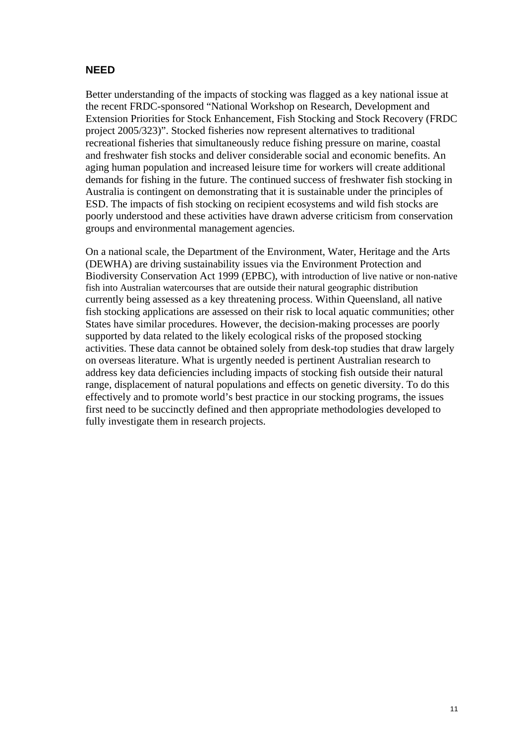#### <span id="page-11-0"></span>**NEED**

Better understanding of the impacts of stocking was flagged as a key national issue at the recent FRDC-sponsored "National Workshop on Research, Development and Extension Priorities for Stock Enhancement, Fish Stocking and Stock Recovery (FRDC project 2005/323)". Stocked fisheries now represent alternatives to traditional recreational fisheries that simultaneously reduce fishing pressure on marine, coastal and freshwater fish stocks and deliver considerable social and economic benefits. An aging human population and increased leisure time for workers will create additional demands for fishing in the future. The continued success of freshwater fish stocking in Australia is contingent on demonstrating that it is sustainable under the principles of ESD. The impacts of fish stocking on recipient ecosystems and wild fish stocks are poorly understood and these activities have drawn adverse criticism from conservation groups and environmental management agencies.

On a national scale, the Department of the Environment, Water, Heritage and the Arts (DEWHA) are driving sustainability issues via the Environment Protection and Biodiversity Conservation Act 1999 (EPBC), with introduction of live native or non-native fish into Australian watercourses that are outside their natural geographic distribution currently being assessed as a key threatening process. Within Queensland, all native fish stocking applications are assessed on their risk to local aquatic communities; other States have similar procedures. However, the decision-making processes are poorly supported by data related to the likely ecological risks of the proposed stocking activities. These data cannot be obtained solely from desk-top studies that draw largely on overseas literature. What is urgently needed is pertinent Australian research to address key data deficiencies including impacts of stocking fish outside their natural range, displacement of natural populations and effects on genetic diversity. To do this effectively and to promote world's best practice in our stocking programs, the issues first need to be succinctly defined and then appropriate methodologies developed to fully investigate them in research projects.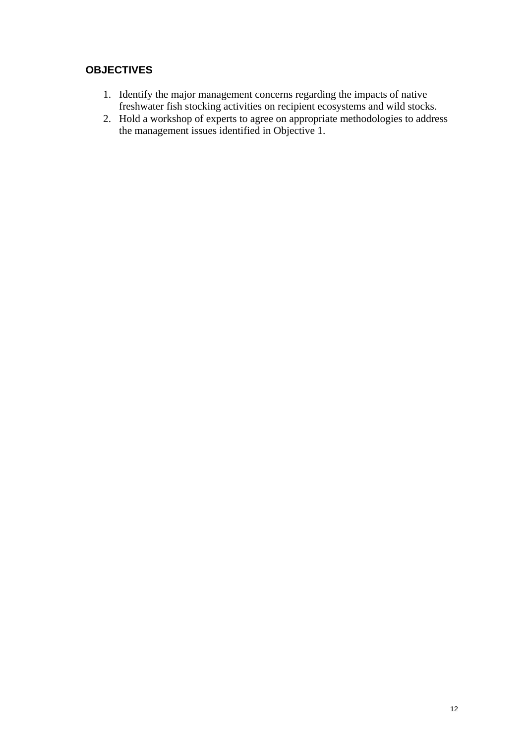#### <span id="page-12-0"></span>**OBJECTIVES**

- 1. Identify the major management concerns regarding the impacts of native freshwater fish stocking activities on recipient ecosystems and wild stocks.
- 2. Hold a workshop of experts to agree on appropriate methodologies to address the management issues identified in Objective 1.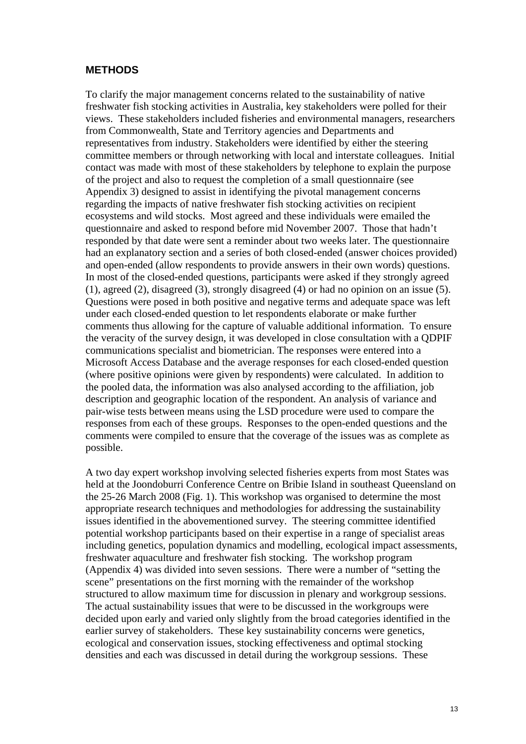#### <span id="page-13-0"></span>**METHODS**

To clarify the major management concerns related to the sustainability of native freshwater fish stocking activities in Australia, key stakeholders were polled for their views. These stakeholders included fisheries and environmental managers, researchers from Commonwealth, State and Territory agencies and Departments and representatives from industry. Stakeholders were identified by either the steering committee members or through networking with local and interstate colleagues. Initial contact was made with most of these stakeholders by telephone to explain the purpose of the project and also to request the completion of a small questionnaire (see [Appendix 3](#page-43-1)) designed to assist in identifying the pivotal management concerns regarding the impacts of native freshwater fish stocking activities on recipient ecosystems and wild stocks. Most agreed and these individuals were emailed the questionnaire and asked to respond before mid November 2007. Those that hadn't responded by that date were sent a reminder about two weeks later. The questionnaire had an explanatory section and a series of both closed-ended (answer choices provided) and open-ended (allow respondents to provide answers in their own words) questions. In most of the closed-ended questions, participants were asked if they strongly agreed (1), agreed (2), disagreed (3), strongly disagreed (4) or had no opinion on an issue (5). Questions were posed in both positive and negative terms and adequate space was left under each closed-ended question to let respondents elaborate or make further comments thus allowing for the capture of valuable additional information. To ensure the veracity of the survey design, it was developed in close consultation with a QDPIF communications specialist and biometrician. The responses were entered into a Microsoft Access Database and the average responses for each closed-ended question (where positive opinions were given by respondents) were calculated. In addition to the pooled data, the information was also analysed according to the affiliation, job description and geographic location of the respondent. An analysis of variance and pair-wise tests between means using the LSD procedure were used to compare the responses from each of these groups. Responses to the open-ended questions and the comments were compiled to ensure that the coverage of the issues was as complete as possible.

A two day expert workshop involving selected fisheries experts from most States was held at the Joondoburri Conference Centre on Bribie Island in southeast Queensland on the 25-26 March 2008 (Fig. 1). This workshop was organised to determine the most appropriate research techniques and methodologies for addressing the sustainability issues identified in the abovementioned survey. The steering committee identified potential workshop participants based on their expertise in a range of specialist areas including genetics, population dynamics and modelling, ecological impact assessments, freshwater aquaculture and freshwater fish stocking. The workshop program ([Appendix 4](#page-46-1)) was divided into seven sessions. There were a number of "setting the scene" presentations on the first morning with the remainder of the workshop structured to allow maximum time for discussion in plenary and workgroup sessions. The actual sustainability issues that were to be discussed in the workgroups were decided upon early and varied only slightly from the broad categories identified in the earlier survey of stakeholders. These key sustainability concerns were genetics, ecological and conservation issues, stocking effectiveness and optimal stocking densities and each was discussed in detail during the workgroup sessions. These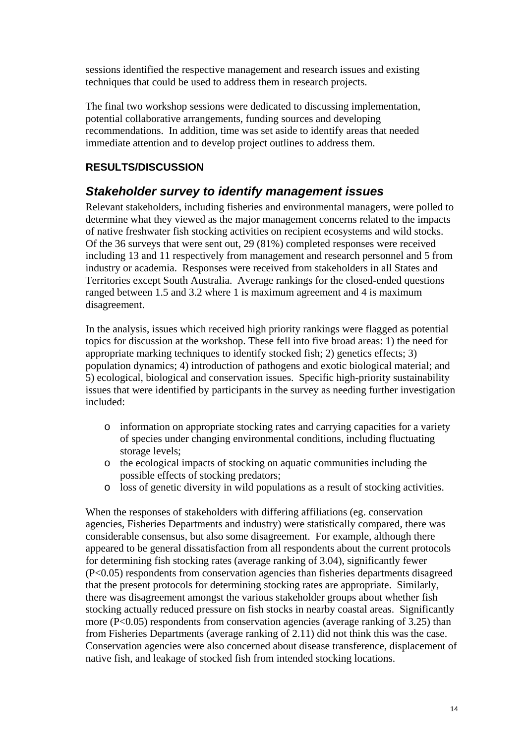<span id="page-14-0"></span>sessions identified the respective management and research issues and existing techniques that could be used to address them in research projects.

The final two workshop sessions were dedicated to discussing implementation, potential collaborative arrangements, funding sources and developing recommendations. In addition, time was set aside to identify areas that needed immediate attention and to develop project outlines to address them.

#### **RESULTS/DISCUSSION**

#### *Stakeholder survey to identify management issues*

Relevant stakeholders, including fisheries and environmental managers, were polled to determine what they viewed as the major management concerns related to the impacts of native freshwater fish stocking activities on recipient ecosystems and wild stocks. Of the 36 surveys that were sent out, 29 (81%) completed responses were received including 13 and 11 respectively from management and research personnel and 5 from industry or academia. Responses were received from stakeholders in all States and Territories except South Australia. Average rankings for the closed-ended questions ranged between 1.5 and 3.2 where 1 is maximum agreement and 4 is maximum disagreement.

In the analysis, issues which received high priority rankings were flagged as potential topics for discussion at the workshop. These fell into five broad areas: 1) the need for appropriate marking techniques to identify stocked fish; 2) genetics effects; 3) population dynamics; 4) introduction of pathogens and exotic biological material; and 5) ecological, biological and conservation issues. Specific high-priority sustainability issues that were identified by participants in the survey as needing further investigation included:

- o information on appropriate stocking rates and carrying capacities for a variety of species under changing environmental conditions, including fluctuating storage levels;
- o the ecological impacts of stocking on aquatic communities including the possible effects of stocking predators;
- o loss of genetic diversity in wild populations as a result of stocking activities.

When the responses of stakeholders with differing affiliations (eg. conservation agencies, Fisheries Departments and industry) were statistically compared, there was considerable consensus, but also some disagreement. For example, although there appeared to be general dissatisfaction from all respondents about the current protocols for determining fish stocking rates (average ranking of 3.04), significantly fewer (P<0.05) respondents from conservation agencies than fisheries departments disagreed that the present protocols for determining stocking rates are appropriate. Similarly, there was disagreement amongst the various stakeholder groups about whether fish stocking actually reduced pressure on fish stocks in nearby coastal areas. Significantly more (P<0.05) respondents from conservation agencies (average ranking of 3.25) than from Fisheries Departments (average ranking of 2.11) did not think this was the case. Conservation agencies were also concerned about disease transference, displacement of native fish, and leakage of stocked fish from intended stocking locations.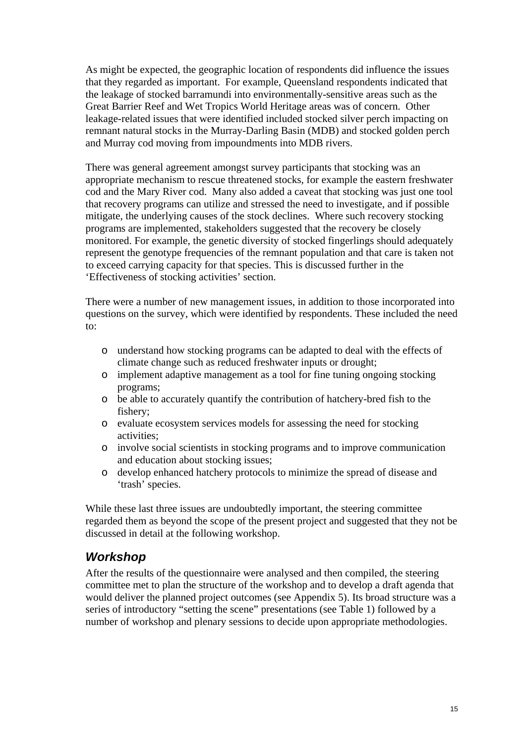<span id="page-15-0"></span>As might be expected, the geographic location of respondents did influence the issues that they regarded as important. For example, Queensland respondents indicated that the leakage of stocked barramundi into environmentally-sensitive areas such as the Great Barrier Reef and Wet Tropics World Heritage areas was of concern. Other leakage-related issues that were identified included stocked silver perch impacting on remnant natural stocks in the Murray-Darling Basin (MDB) and stocked golden perch and Murray cod moving from impoundments into MDB rivers.

There was general agreement amongst survey participants that stocking was an appropriate mechanism to rescue threatened stocks, for example the eastern freshwater cod and the Mary River cod. Many also added a caveat that stocking was just one tool that recovery programs can utilize and stressed the need to investigate, and if possible mitigate, the underlying causes of the stock declines. Where such recovery stocking programs are implemented, stakeholders suggested that the recovery be closely monitored. For example, the genetic diversity of stocked fingerlings should adequately represent the genotype frequencies of the remnant population and that care is taken not to exceed carrying capacity for that species. This is discussed further in the '[Effectiveness of stocking activities'](#page-25-1) section.

There were a number of new management issues, in addition to those incorporated into questions on the survey, which were identified by respondents. These included the need to:

- o understand how stocking programs can be adapted to deal with the effects of climate change such as reduced freshwater inputs or drought;
- o implement adaptive management as a tool for fine tuning ongoing stocking programs;
- o be able to accurately quantify the contribution of hatchery-bred fish to the fishery;
- o evaluate ecosystem services models for assessing the need for stocking activities;
- o involve social scientists in stocking programs and to improve communication and education about stocking issues;
- o develop enhanced hatchery protocols to minimize the spread of disease and 'trash' species.

While these last three issues are undoubtedly important, the steering committee regarded them as beyond the scope of the present project and suggested that they not be discussed in detail at the following workshop.

#### *Workshop*

After the results of the questionnaire were analysed and then compiled, the steering committee met to plan the structure of the workshop and to develop a draft agenda that would deliver the planned project outcomes (see [Appendix 5\)](#page-48-1). Its broad structure was a series of introductory "setting the scene" presentations (see [Table 1\)](#page-16-0) followed by a number of workshop and plenary sessions to decide upon appropriate methodologies.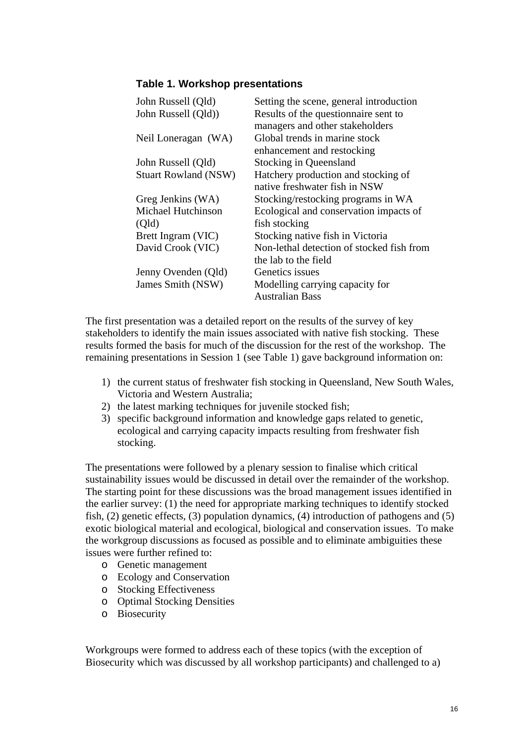#### **Table 1. Workshop presentations**

<span id="page-16-0"></span>

| John Russell (Qld)          | Setting the scene, general introduction   |
|-----------------------------|-------------------------------------------|
| John Russell (Qld))         | Results of the question aire sent to      |
|                             | managers and other stakeholders           |
| Neil Loneragan (WA)         | Global trends in marine stock             |
|                             | enhancement and restocking                |
| John Russell (Qld)          | <b>Stocking in Queensland</b>             |
| <b>Stuart Rowland (NSW)</b> | Hatchery production and stocking of       |
|                             | native freshwater fish in NSW             |
| Greg Jenkins (WA)           | Stocking/restocking programs in WA        |
| <b>Michael Hutchinson</b>   | Ecological and conservation impacts of    |
| (Qld)                       | fish stocking                             |
| Brett Ingram (VIC)          | Stocking native fish in Victoria          |
| David Crook (VIC)           | Non-lethal detection of stocked fish from |
|                             | the lab to the field                      |
| Jenny Ovenden (Qld)         | Genetics issues                           |
| James Smith (NSW)           | Modelling carrying capacity for           |
|                             | Australian Bass                           |

The first presentation was a detailed report on the results of the survey of key stakeholders to identify the main issues associated with native fish stocking. These results formed the basis for much of the discussion for the rest of the workshop. The remaining presentations in Session 1 (see [Table 1\)](#page-16-0) gave background information on:

- 1) the current status of freshwater fish stocking in Queensland, New South Wales, Victoria and Western Australia;
- 2) the latest marking techniques for juvenile stocked fish;
- 3) specific background information and knowledge gaps related to genetic, ecological and carrying capacity impacts resulting from freshwater fish stocking.

The presentations were followed by a plenary session to finalise which critical sustainability issues would be discussed in detail over the remainder of the workshop. The starting point for these discussions was the broad management issues identified in the earlier survey: (1) the need for appropriate marking techniques to identify stocked fish, (2) genetic effects, (3) population dynamics, (4) introduction of pathogens and (5) exotic biological material and ecological, biological and conservation issues. To make the workgroup discussions as focused as possible and to eliminate ambiguities these issues were further refined to:

- o Genetic management
- o Ecology and Conservation
- o Stocking Effectiveness
- o Optimal Stocking Densities
- o Biosecurity

Workgroups were formed to address each of these topics (with the exception of Biosecurity which was discussed by all workshop participants) and challenged to a)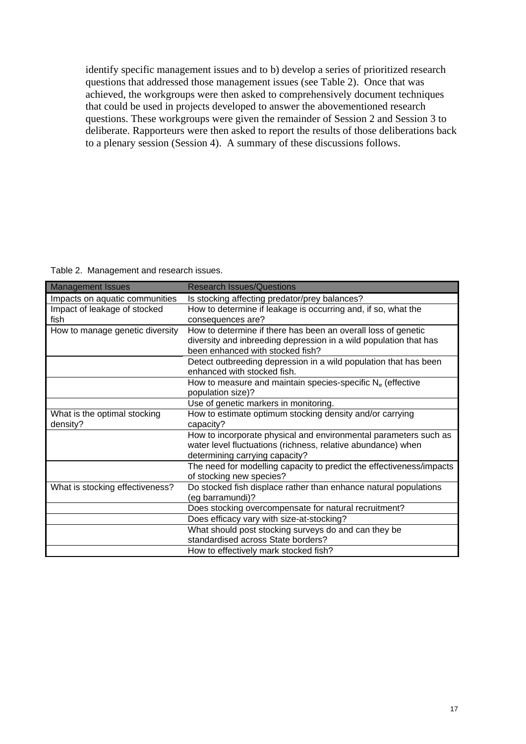identify specific management issues and to b) develop a series of prioritized research questions that addressed those management issues (see [Table 2\)](#page-17-0). Once that was achieved, the workgroups were then asked to comprehensively document techniques that could be used in projects developed to answer the abovementioned research questions. These workgroups were given the remainder of Session 2 and Session 3 to deliberate. Rapporteurs were then asked to report the results of those deliberations back to a plenary session (Session 4). A summary of these discussions follows.

Table 2. Management and research issues.

<span id="page-17-0"></span>

| <b>Management Issues</b>        | <b>Research Issues/Questions</b>                                       |
|---------------------------------|------------------------------------------------------------------------|
| Impacts on aquatic communities  | Is stocking affecting predator/prey balances?                          |
| Impact of leakage of stocked    | How to determine if leakage is occurring and, if so, what the          |
| fish                            | consequences are?                                                      |
| How to manage genetic diversity | How to determine if there has been an overall loss of genetic          |
|                                 | diversity and inbreeding depression in a wild population that has      |
|                                 | been enhanced with stocked fish?                                       |
|                                 | Detect outbreeding depression in a wild population that has been       |
|                                 | enhanced with stocked fish.                                            |
|                                 | How to measure and maintain species-specific N <sub>e</sub> (effective |
|                                 | population size)?                                                      |
|                                 | Use of genetic markers in monitoring.                                  |
| What is the optimal stocking    | How to estimate optimum stocking density and/or carrying               |
| density?                        | capacity?                                                              |
|                                 | How to incorporate physical and environmental parameters such as       |
|                                 | water level fluctuations (richness, relative abundance) when           |
|                                 | determining carrying capacity?                                         |
|                                 | The need for modelling capacity to predict the effectiveness/impacts   |
|                                 | of stocking new species?                                               |
| What is stocking effectiveness? | Do stocked fish displace rather than enhance natural populations       |
|                                 | (eg barramundi)?                                                       |
|                                 | Does stocking overcompensate for natural recruitment?                  |
|                                 | Does efficacy vary with size-at-stocking?                              |
|                                 | What should post stocking surveys do and can they be                   |
|                                 | standardised across State borders?                                     |
|                                 | How to effectively mark stocked fish?                                  |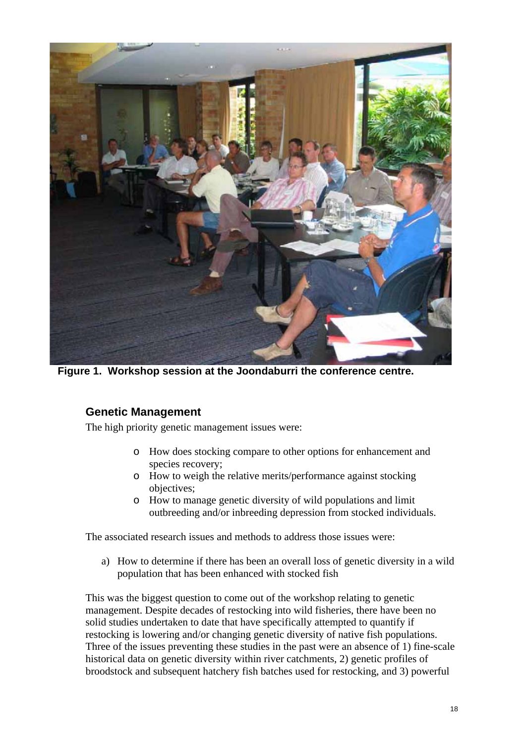<span id="page-18-1"></span><span id="page-18-0"></span>

**Figure 1. Workshop session at the Joondaburri the conference centre.** 

#### **Genetic Management**

The high priority genetic management issues were:

- o How does stocking compare to other options for enhancement and species recovery;
- o How to weigh the relative merits/performance against stocking objectives;
- o How to manage genetic diversity of wild populations and limit outbreeding and/or inbreeding depression from stocked individuals.

The associated research issues and methods to address those issues were:

a) How to determine if there has been an overall loss of genetic diversity in a wild population that has been enhanced with stocked fish

This was the biggest question to come out of the workshop relating to genetic management. Despite decades of restocking into wild fisheries, there have been no solid studies undertaken to date that have specifically attempted to quantify if restocking is lowering and/or changing genetic diversity of native fish populations. Three of the issues preventing these studies in the past were an absence of 1) fine-scale historical data on genetic diversity within river catchments, 2) genetic profiles of broodstock and subsequent hatchery fish batches used for restocking, and 3) powerful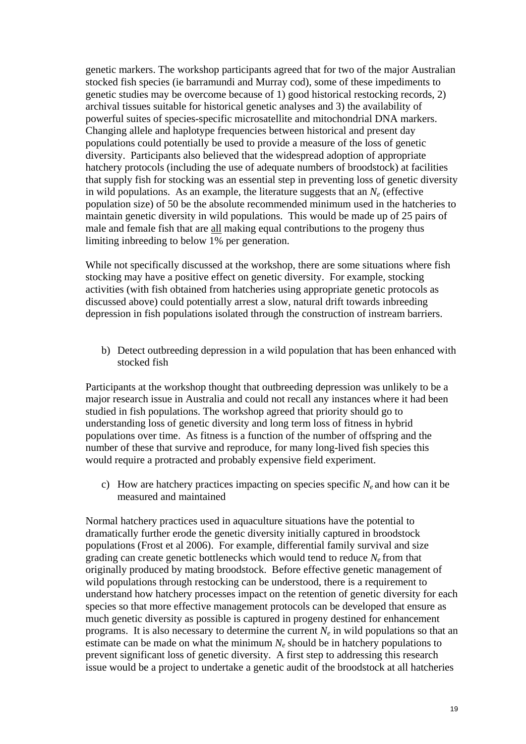genetic markers. The workshop participants agreed that for two of the major Australian stocked fish species (ie barramundi and Murray cod), some of these impediments to genetic studies may be overcome because of 1) good historical restocking records, 2) archival tissues suitable for historical genetic analyses and 3) the availability of powerful suites of species-specific microsatellite and mitochondrial DNA markers. Changing allele and haplotype frequencies between historical and present day populations could potentially be used to provide a measure of the loss of genetic diversity. Participants also believed that the widespread adoption of appropriate hatchery protocols (including the use of adequate numbers of broodstock) at facilities that supply fish for stocking was an essential step in preventing loss of genetic diversity in wild populations. As an example, the literature suggests that an  $N_e$  (effective population size) of 50 be the absolute recommended minimum used in the hatcheries to maintain genetic diversity in wild populations. This would be made up of 25 pairs of male and female fish that are all making equal contributions to the progeny thus limiting inbreeding to below 1% per generation.

While not specifically discussed at the workshop, there are some situations where fish stocking may have a positive effect on genetic diversity. For example, stocking activities (with fish obtained from hatcheries using appropriate genetic protocols as discussed above) could potentially arrest a slow, natural drift towards inbreeding depression in fish populations isolated through the construction of instream barriers.

b) Detect outbreeding depression in a wild population that has been enhanced with stocked fish

Participants at the workshop thought that outbreeding depression was unlikely to be a major research issue in Australia and could not recall any instances where it had been studied in fish populations. The workshop agreed that priority should go to understanding loss of genetic diversity and long term loss of fitness in hybrid populations over time. As fitness is a function of the number of offspring and the number of these that survive and reproduce, for many long-lived fish species this would require a protracted and probably expensive field experiment.

c) How are hatchery practices impacting on species specific  $N_e$  and how can it be measured and maintained

Normal hatchery practices used in aquaculture situations have the potential to dramatically further erode the genetic diversity initially captured in broodstock populations (Frost et al 2006). For example, differential family survival and size grading can create genetic bottlenecks which would tend to reduce  $N_e$  from that originally produced by mating broodstock. Before effective genetic management of wild populations through restocking can be understood, there is a requirement to understand how hatchery processes impact on the retention of genetic diversity for each species so that more effective management protocols can be developed that ensure as much genetic diversity as possible is captured in progeny destined for enhancement programs. It is also necessary to determine the current  $N_e$  in wild populations so that an estimate can be made on what the minimum  $N_e$  should be in hatchery populations to prevent significant loss of genetic diversity. A first step to addressing this research issue would be a project to undertake a genetic audit of the broodstock at all hatcheries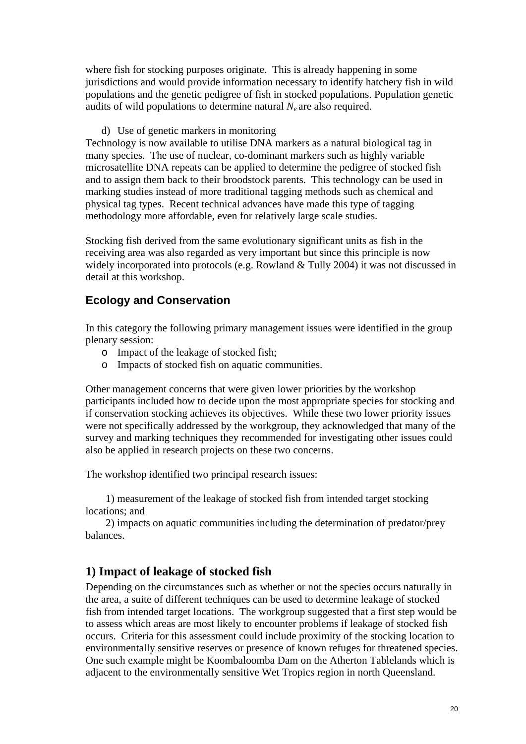<span id="page-20-0"></span>where fish for stocking purposes originate. This is already happening in some jurisdictions and would provide information necessary to identify hatchery fish in wild populations and the genetic pedigree of fish in stocked populations. Population genetic audits of wild populations to determine natural  $N_e$  are also required.

d) Use of genetic markers in monitoring

Technology is now available to utilise DNA markers as a natural biological tag in many species. The use of nuclear, co-dominant markers such as highly variable microsatellite DNA repeats can be applied to determine the pedigree of stocked fish and to assign them back to their broodstock parents. This technology can be used in marking studies instead of more traditional tagging methods such as chemical and physical tag types. Recent technical advances have made this type of tagging methodology more affordable, even for relatively large scale studies.

Stocking fish derived from the same evolutionary significant units as fish in the receiving area was also regarded as very important but since this principle is now widely incorporated into protocols (e.g. Rowland & Tully 2004) it was not discussed in detail at this workshop.

#### <span id="page-20-1"></span>**Ecology and Conservation**

In this category the following primary management issues were identified in the group plenary session:

- o Impact of the leakage of stocked fish;
- o Impacts of stocked fish on aquatic communities.

Other management concerns that were given lower priorities by the workshop participants included how to decide upon the most appropriate species for stocking and if conservation stocking achieves its objectives. While these two lower priority issues were not specifically addressed by the workgroup, they acknowledged that many of the survey and marking techniques they recommended for investigating other issues could also be applied in research projects on these two concerns.

The workshop identified two principal research issues:

1) measurement of the leakage of stocked fish from intended target stocking locations; and

2) impacts on aquatic communities including the determination of predator/prey balances.

#### **1) Impact of leakage of stocked fish**

Depending on the circumstances such as whether or not the species occurs naturally in the area, a suite of different techniques can be used to determine leakage of stocked fish from intended target locations. The workgroup suggested that a first step would be to assess which areas are most likely to encounter problems if leakage of stocked fish occurs. Criteria for this assessment could include proximity of the stocking location to environmentally sensitive reserves or presence of known refuges for threatened species. One such example might be Koombaloomba Dam on the Atherton Tablelands which is adjacent to the environmentally sensitive Wet Tropics region in north Queensland.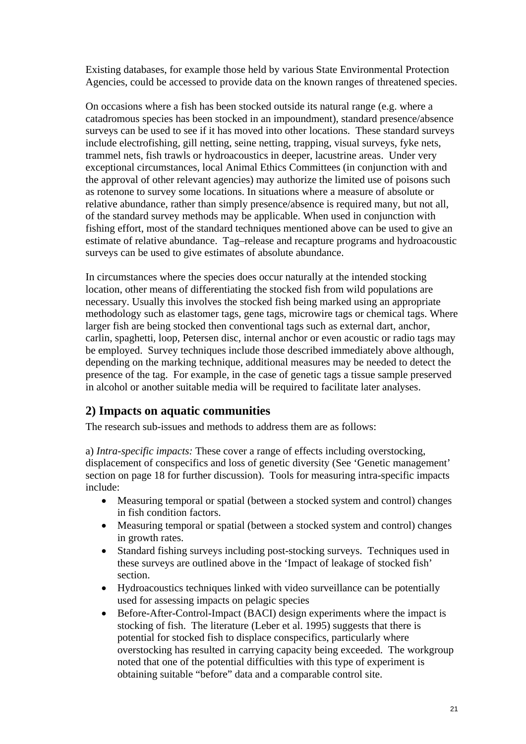<span id="page-21-0"></span>Existing databases, for example those held by various State Environmental Protection Agencies, could be accessed to provide data on the known ranges of threatened species.

On occasions where a fish has been stocked outside its natural range (e.g. where a catadromous species has been stocked in an impoundment), standard presence/absence surveys can be used to see if it has moved into other locations. These standard surveys include electrofishing, gill netting, seine netting, trapping, visual surveys, fyke nets, trammel nets, fish trawls or hydroacoustics in deeper, lacustrine areas. Under very exceptional circumstances, local Animal Ethics Committees (in conjunction with and the approval of other relevant agencies) may authorize the limited use of poisons such as rotenone to survey some locations. In situations where a measure of absolute or relative abundance, rather than simply presence/absence is required many, but not all, of the standard survey methods may be applicable. When used in conjunction with fishing effort, most of the standard techniques mentioned above can be used to give an estimate of relative abundance. Tag–release and recapture programs and hydroacoustic surveys can be used to give estimates of absolute abundance.

In circumstances where the species does occur naturally at the intended stocking location, other means of differentiating the stocked fish from wild populations are necessary. Usually this involves the stocked fish being marked using an appropriate methodology such as elastomer tags, gene tags, microwire tags or chemical tags. Where larger fish are being stocked then conventional tags such as external dart, anchor, carlin, spaghetti, loop, Petersen disc, internal anchor or even acoustic or radio tags may be employed. Survey techniques include those described immediately above although, depending on the marking technique, additional measures may be needed to detect the presence of the tag. For example, in the case of genetic tags a tissue sample preserved in alcohol or another suitable media will be required to facilitate later analyses.

#### **2) Impacts on aquatic communities**

The research sub-issues and methods to address them are as follows:

a) *Intra-specific impacts:* These cover a range of effects including overstocking, displacement of conspecifics and loss of genetic diversity (See 'Genetic management' section on page [18](#page-18-1) for further discussion). Tools for measuring intra-specific impacts include:

- Measuring temporal or spatial (between a stocked system and control) changes in fish condition factors.
- Measuring temporal or spatial (between a stocked system and control) changes in growth rates.
- Standard fishing surveys including post-stocking surveys. Techniques used in these surveys are outlined above in the 'Impact of leakage of stocked fish' section.
- Hydroacoustics techniques linked with video surveillance can be potentially used for assessing impacts on pelagic species
- Before-After-Control-Impact (BACI) design experiments where the impact is stocking of fish. The literature (Leber et al. 1995) suggests that there is potential for stocked fish to displace conspecifics, particularly where overstocking has resulted in carrying capacity being exceeded. The workgroup noted that one of the potential difficulties with this type of experiment is obtaining suitable "before" data and a comparable control site.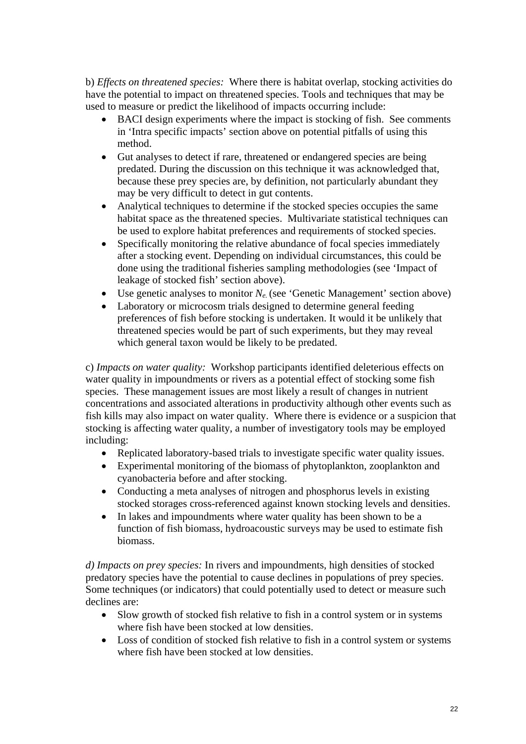b) *Effects on threatened species:* Where there is habitat overlap, stocking activities do have the potential to impact on threatened species. Tools and techniques that may be used to measure or predict the likelihood of impacts occurring include:

- BACI design experiments where the impact is stocking of fish. See comments in 'Intra specific impacts' section above on potential pitfalls of using this method.
- Gut analyses to detect if rare, threatened or endangered species are being predated. During the discussion on this technique it was acknowledged that, because these prey species are, by definition, not particularly abundant they may be very difficult to detect in gut contents.
- Analytical techniques to determine if the stocked species occupies the same habitat space as the threatened species. Multivariate statistical techniques can be used to explore habitat preferences and requirements of stocked species.
- Specifically monitoring the relative abundance of focal species immediately after a stocking event. Depending on individual circumstances, this could be done using the traditional fisheries sampling methodologies (see 'Impact of leakage of stocked fish' section above).
- Use genetic analyses to monitor  $N_e$  (see 'Genetic Management' section above)
- Laboratory or microcosm trials designed to determine general feeding preferences of fish before stocking is undertaken. It would it be unlikely that threatened species would be part of such experiments, but they may reveal which general taxon would be likely to be predated.

c) *Impacts on water quality:* Workshop participants identified deleterious effects on water quality in impoundments or rivers as a potential effect of stocking some fish species. These management issues are most likely a result of changes in nutrient concentrations and associated alterations in productivity although other events such as fish kills may also impact on water quality. Where there is evidence or a suspicion that stocking is affecting water quality, a number of investigatory tools may be employed including:

- Replicated laboratory-based trials to investigate specific water quality issues.
- Experimental monitoring of the biomass of phytoplankton, zooplankton and cyanobacteria before and after stocking.
- Conducting a meta analyses of nitrogen and phosphorus levels in existing stocked storages cross-referenced against known stocking levels and densities.
- In lakes and impoundments where water quality has been shown to be a function of fish biomass, hydroacoustic surveys may be used to estimate fish biomass.

*d) Impacts on prey species:* In rivers and impoundments, high densities of stocked predatory species have the potential to cause declines in populations of prey species. Some techniques (or indicators) that could potentially used to detect or measure such declines are:

- Slow growth of stocked fish relative to fish in a control system or in systems where fish have been stocked at low densities.
- Loss of condition of stocked fish relative to fish in a control system or systems where fish have been stocked at low densities.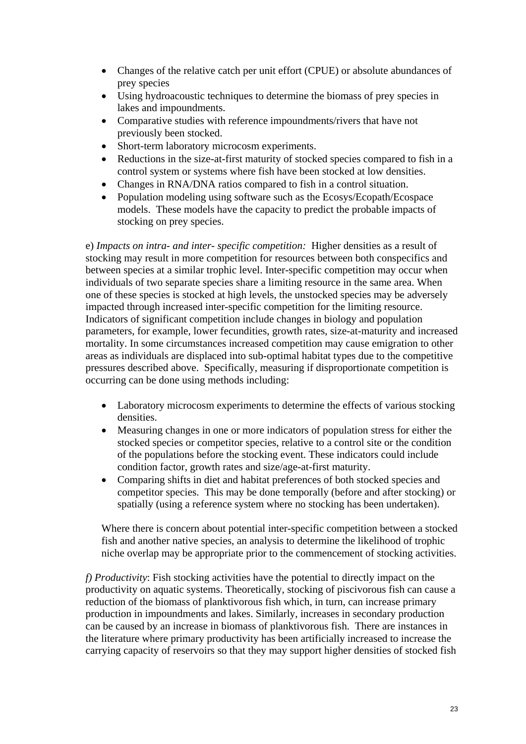- Changes of the relative catch per unit effort (CPUE) or absolute abundances of prey species
- Using hydroacoustic techniques to determine the biomass of prey species in lakes and impoundments.
- Comparative studies with reference impoundments/rivers that have not previously been stocked.
- Short-term laboratory microcosm experiments.
- Reductions in the size-at-first maturity of stocked species compared to fish in a control system or systems where fish have been stocked at low densities.
- Changes in RNA/DNA ratios compared to fish in a control situation.
- Population modeling using software such as the Ecosys/Ecopath/Ecospace models. These models have the capacity to predict the probable impacts of stocking on prey species.

e) *Impacts on intra- and inter- specific competition:* Higher densities as a result of stocking may result in more competition for resources between both conspecifics and between species at a similar trophic level. Inter-specific competition may occur when individuals of two separate species share a limiting resource in the same area. When one of these species is stocked at high levels, the unstocked species may be adversely impacted through increased inter-specific competition for the limiting resource. Indicators of significant competition include changes in biology and population parameters, for example, lower fecundities, growth rates, size-at-maturity and increased mortality. In some circumstances increased competition may cause emigration to other areas as individuals are displaced into sub-optimal habitat types due to the competitive pressures described above. Specifically, measuring if disproportionate competition is occurring can be done using methods including:

- Laboratory microcosm experiments to determine the effects of various stocking densities.
- Measuring changes in one or more indicators of population stress for either the stocked species or competitor species, relative to a control site or the condition of the populations before the stocking event. These indicators could include condition factor, growth rates and size/age-at-first maturity.
- Comparing shifts in diet and habitat preferences of both stocked species and competitor species. This may be done temporally (before and after stocking) or spatially (using a reference system where no stocking has been undertaken).

Where there is concern about potential inter-specific competition between a stocked fish and another native species, an analysis to determine the likelihood of trophic niche overlap may be appropriate prior to the commencement of stocking activities.

*f) Productivity*: Fish stocking activities have the potential to directly impact on the productivity on aquatic systems. Theoretically, stocking of piscivorous fish can cause a reduction of the biomass of planktivorous fish which, in turn, can increase primary production in impoundments and lakes. Similarly, increases in secondary production can be caused by an increase in biomass of planktivorous fish. There are instances in the literature where primary productivity has been artificially increased to increase the carrying capacity of reservoirs so that they may support higher densities of stocked fish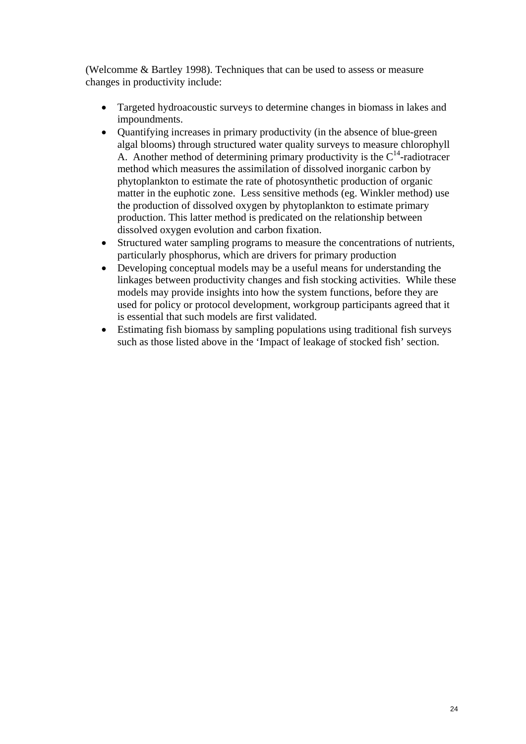(Welcomme & Bartley 1998). Techniques that can be used to assess or measure changes in productivity include:

- Targeted hydroacoustic surveys to determine changes in biomass in lakes and impoundments.
- Quantifying increases in primary productivity (in the absence of blue-green algal blooms) through structured water quality surveys to measure chlorophyll A. Another method of determining primary productivity is the  $C^{14}$ -radiotracer method which measures the assimilation of dissolved inorganic carbon by phytoplankton to estimate the rate of photosynthetic production of organic matter in the euphotic zone. Less sensitive methods (eg. Winkler method) use the production of dissolved oxygen by phytoplankton to estimate primary production. This latter method is predicated on the relationship between dissolved oxygen evolution and carbon fixation.
- Structured water sampling programs to measure the concentrations of nutrients, particularly phosphorus, which are drivers for primary production
- Developing conceptual models may be a useful means for understanding the linkages between productivity changes and fish stocking activities. While these models may provide insights into how the system functions, before they are used for policy or protocol development, workgroup participants agreed that it is essential that such models are first validated.
- Estimating fish biomass by sampling populations using traditional fish surveys such as those listed above in the 'Impact of leakage of stocked fish' section.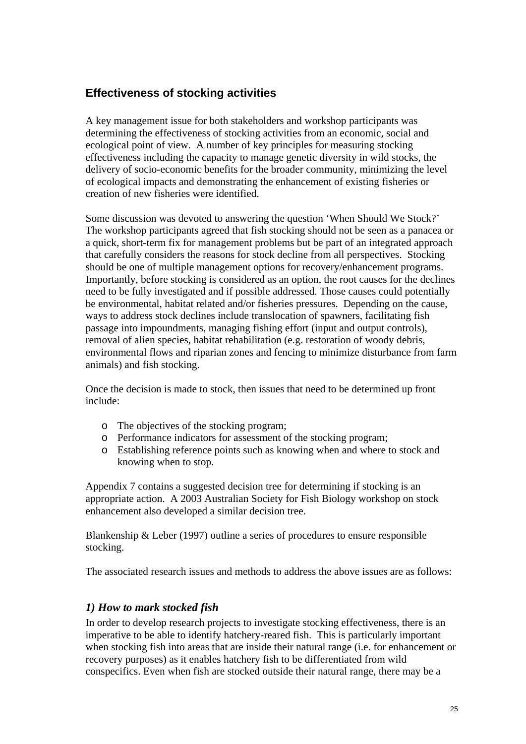#### <span id="page-25-1"></span><span id="page-25-0"></span>**Effectiveness of stocking activities**

A key management issue for both stakeholders and workshop participants was determining the effectiveness of stocking activities from an economic, social and ecological point of view. A number of key principles for measuring stocking effectiveness including the capacity to manage genetic diversity in wild stocks, the delivery of socio-economic benefits for the broader community, minimizing the level of ecological impacts and demonstrating the enhancement of existing fisheries or creation of new fisheries were identified.

Some discussion was devoted to answering the question 'When Should We Stock?' The workshop participants agreed that fish stocking should not be seen as a panacea or a quick, short-term fix for management problems but be part of an integrated approach that carefully considers the reasons for stock decline from all perspectives. Stocking should be one of multiple management options for recovery/enhancement programs. Importantly, before stocking is considered as an option, the root causes for the declines need to be fully investigated and if possible addressed. Those causes could potentially be environmental, habitat related and/or fisheries pressures. Depending on the cause, ways to address stock declines include translocation of spawners, facilitating fish passage into impoundments, managing fishing effort (input and output controls), removal of alien species, habitat rehabilitation (e.g. restoration of woody debris, environmental flows and riparian zones and fencing to minimize disturbance from farm animals) and fish stocking.

Once the decision is made to stock, then issues that need to be determined up front include:

- o The objectives of the stocking program;
- o Performance indicators for assessment of the stocking program;
- o Establishing reference points such as knowing when and where to stock and knowing when to stop.

Appendix 7 contains a suggested decision tree for determining if stocking is an appropriate action. A 2003 Australian Society for Fish Biology workshop on stock enhancement also developed a similar decision tree.

Blankenship  $\&$  Leber (1997) outline a series of procedures to ensure responsible stocking.

The associated research issues and methods to address the above issues are as follows:

#### *1) How to mark stocked fish*

In order to develop research projects to investigate stocking effectiveness, there is an imperative to be able to identify hatchery-reared fish. This is particularly important when stocking fish into areas that are inside their natural range (i.e. for enhancement or recovery purposes) as it enables hatchery fish to be differentiated from wild conspecifics. Even when fish are stocked outside their natural range, there may be a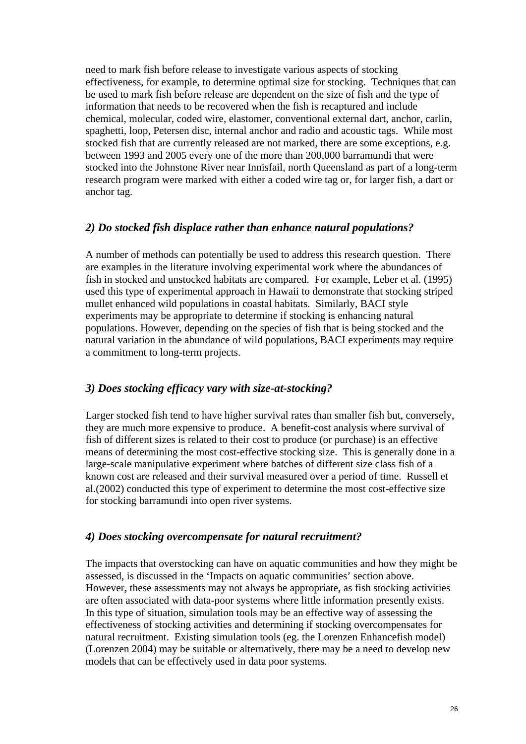need to mark fish before release to investigate various aspects of stocking effectiveness, for example, to determine optimal size for stocking. Techniques that can be used to mark fish before release are dependent on the size of fish and the type of information that needs to be recovered when the fish is recaptured and include chemical, molecular, coded wire, elastomer, conventional external dart, anchor, carlin, spaghetti, loop, Petersen disc, internal anchor and radio and acoustic tags. While most stocked fish that are currently released are not marked, there are some exceptions, e.g. between 1993 and 2005 every one of the more than 200,000 barramundi that were stocked into the Johnstone River near Innisfail, north Queensland as part of a long-term research program were marked with either a coded wire tag or, for larger fish, a dart or anchor tag.

#### *2) Do stocked fish displace rather than enhance natural populations?*

A number of methods can potentially be used to address this research question. There are examples in the literature involving experimental work where the abundances of fish in stocked and unstocked habitats are compared. For example, Leber et al. (1995) used this type of experimental approach in Hawaii to demonstrate that stocking striped mullet enhanced wild populations in coastal habitats. Similarly, BACI style experiments may be appropriate to determine if stocking is enhancing natural populations. However, depending on the species of fish that is being stocked and the natural variation in the abundance of wild populations, BACI experiments may require a commitment to long-term projects.

#### *3) Does stocking efficacy vary with size-at-stocking?*

Larger stocked fish tend to have higher survival rates than smaller fish but, conversely, they are much more expensive to produce. A benefit-cost analysis where survival of fish of different sizes is related to their cost to produce (or purchase) is an effective means of determining the most cost-effective stocking size. This is generally done in a large-scale manipulative experiment where batches of different size class fish of a known cost are released and their survival measured over a period of time. Russell et al.(2002) conducted this type of experiment to determine the most cost-effective size for stocking barramundi into open river systems.

#### *4) Does stocking overcompensate for natural recruitment?*

The impacts that overstocking can have on aquatic communities and how they might be assessed, is discussed in the 'Impacts on aquatic communities' section above. However, these assessments may not always be appropriate, as fish stocking activities are often associated with data-poor systems where little information presently exists. In this type of situation, simulation tools may be an effective way of assessing the effectiveness of stocking activities and determining if stocking overcompensates for natural recruitment. Existing simulation tools (eg. the Lorenzen Enhancefish model) (Lorenzen 2004) may be suitable or alternatively, there may be a need to develop new models that can be effectively used in data poor systems.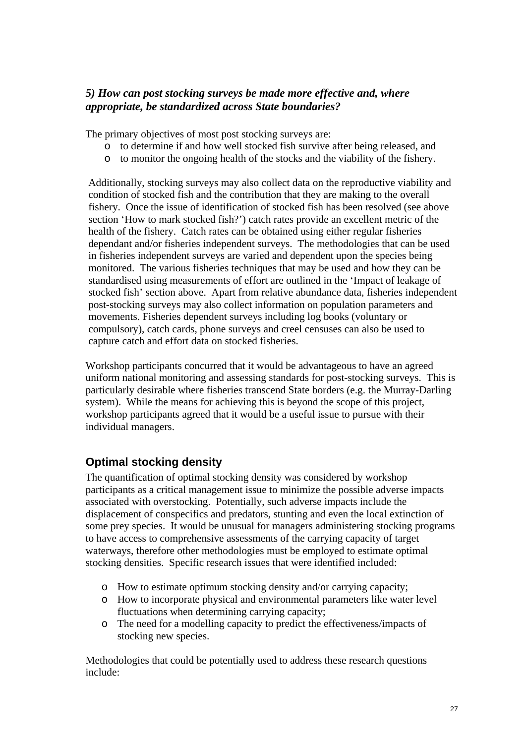#### <span id="page-27-0"></span>*5) How can post stocking surveys be made more effective and, where appropriate, be standardized across State boundaries?*

The primary objectives of most post stocking surveys are:

- o to determine if and how well stocked fish survive after being released, and
- o to monitor the ongoing health of the stocks and the viability of the fishery.

Additionally, stocking surveys may also collect data on the reproductive viability and condition of stocked fish and the contribution that they are making to the overall fishery. Once the issue of identification of stocked fish has been resolved (see above section 'How to mark stocked fish?') catch rates provide an excellent metric of the health of the fishery. Catch rates can be obtained using either regular fisheries dependant and/or fisheries independent surveys. The methodologies that can be used in fisheries independent surveys are varied and dependent upon the species being monitored. The various fisheries techniques that may be used and how they can be standardised using measurements of effort are outlined in the 'Impact of leakage of stocked fish' section above. Apart from relative abundance data, fisheries independent post-stocking surveys may also collect information on population parameters and movements. Fisheries dependent surveys including log books (voluntary or compulsory), catch cards, phone surveys and creel censuses can also be used to capture catch and effort data on stocked fisheries.

Workshop participants concurred that it would be advantageous to have an agreed uniform national monitoring and assessing standards for post-stocking surveys. This is particularly desirable where fisheries transcend State borders (e.g. the Murray-Darling system). While the means for achieving this is beyond the scope of this project, workshop participants agreed that it would be a useful issue to pursue with their individual managers.

#### **Optimal stocking density**

The quantification of optimal stocking density was considered by workshop participants as a critical management issue to minimize the possible adverse impacts associated with overstocking. Potentially, such adverse impacts include the displacement of conspecifics and predators, stunting and even the local extinction of some prey species. It would be unusual for managers administering stocking programs to have access to comprehensive assessments of the carrying capacity of target waterways, therefore other methodologies must be employed to estimate optimal stocking densities. Specific research issues that were identified included:

- o How to estimate optimum stocking density and/or carrying capacity;
- o How to incorporate physical and environmental parameters like water level fluctuations when determining carrying capacity;
- o The need for a modelling capacity to predict the effectiveness/impacts of stocking new species.

Methodologies that could be potentially used to address these research questions include: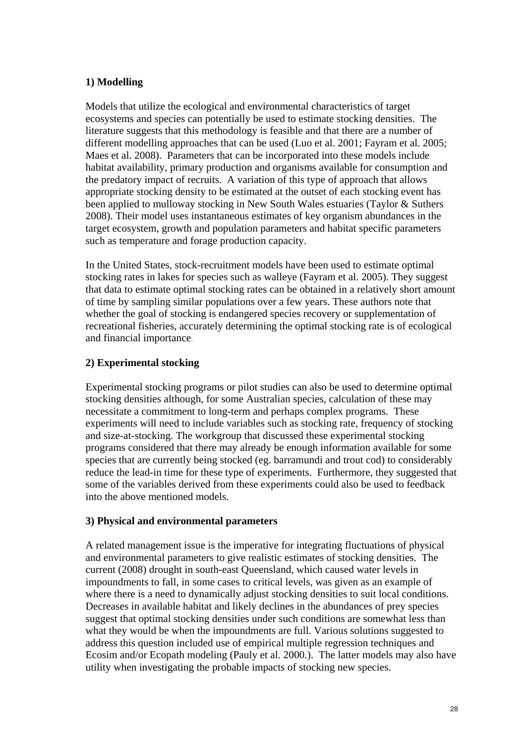#### **1) Modelling**

Models that utilize the ecological and environmental characteristics of target ecosystems and species can potentially be used to estimate stocking densities. The literature suggests that this methodology is feasible and that there are a number of different modelling approaches that can be used (Luo et al. 2001; Fayram et al. 2005; Maes et al. 2008). Parameters that can be incorporated into these models include habitat availability, primary production and organisms available for consumption and the predatory impact of recruits. A variation of this type of approach that allows appropriate stocking density to be estimated at the outset of each stocking event has been applied to mulloway stocking in New South Wales estuaries (Taylor & Suthers 2008). Their model uses instantaneous estimates of key organism abundances in the target ecosystem, growth and population parameters and habitat specific parameters such as temperature and forage production capacity.

In the United States, stock-recruitment models have been used to estimate optimal stocking rates in lakes for species such as walleye (Fayram et al. 2005). They suggest that data to estimate optimal stocking rates can be obtained in a relatively short amount of time by sampling similar populations over a few years. These authors note that whether the goal of stocking is endangered species recovery or supplementation of recreational fisheries, accurately determining the optimal stocking rate is of ecological and financial importance.

#### **2) Experimental stocking**

Experimental stocking programs or pilot studies can also be used to determine optimal stocking densities although, for some Australian species, calculation of these may necessitate a commitment to long-term and perhaps complex programs. These experiments will need to include variables such as stocking rate, frequency of stocking and size-at-stocking. The workgroup that discussed these experimental stocking programs considered that there may already be enough information available for some species that are currently being stocked (eg. barramundi and trout cod) to considerably reduce the lead-in time for these type of experiments. Furthermore, they suggested that some of the variables derived from these experiments could also be used to feedback into the above mentioned models.

#### **3) Physical and environmental parameters**

A related management issue is the imperative for integrating fluctuations of physical and environmental parameters to give realistic estimates of stocking densities. The current (2008) drought in south-east Queensland, which caused water levels in impoundments to fall, in some cases to critical levels, was given as an example of where there is a need to dynamically adjust stocking densities to suit local conditions. Decreases in available habitat and likely declines in the abundances of prey species suggest that optimal stocking densities under such conditions are somewhat less than what they would be when the impoundments are full. Various solutions suggested to address this question included use of empirical multiple regression techniques and Ecosim and/or Ecopath modeling (Pauly et al. 2000.). The latter models may also have utility when investigating the probable impacts of stocking new species.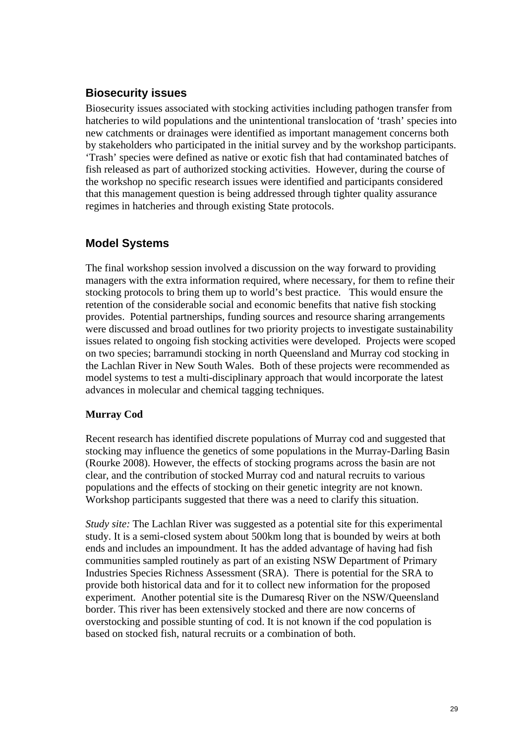#### <span id="page-29-0"></span>**Biosecurity issues**

Biosecurity issues associated with stocking activities including pathogen transfer from hatcheries to wild populations and the unintentional translocation of 'trash' species into new catchments or drainages were identified as important management concerns both by stakeholders who participated in the initial survey and by the workshop participants. 'Trash' species were defined as native or exotic fish that had contaminated batches of fish released as part of authorized stocking activities. However, during the course of the workshop no specific research issues were identified and participants considered that this management question is being addressed through tighter quality assurance regimes in hatcheries and through existing State protocols.

#### **Model Systems**

The final workshop session involved a discussion on the way forward to providing managers with the extra information required, where necessary, for them to refine their stocking protocols to bring them up to world's best practice. This would ensure the retention of the considerable social and economic benefits that native fish stocking provides. Potential partnerships, funding sources and resource sharing arrangements were discussed and broad outlines for two priority projects to investigate sustainability issues related to ongoing fish stocking activities were developed. Projects were scoped on two species; barramundi stocking in north Queensland and Murray cod stocking in the Lachlan River in New South Wales. Both of these projects were recommended as model systems to test a multi-disciplinary approach that would incorporate the latest advances in molecular and chemical tagging techniques.

#### **Murray Cod**

Recent research has identified discrete populations of Murray cod and suggested that stocking may influence the genetics of some populations in the Murray-Darling Basin (Rourke 2008). However, the effects of stocking programs across the basin are not clear, and the contribution of stocked Murray cod and natural recruits to various populations and the effects of stocking on their genetic integrity are not known. Workshop participants suggested that there was a need to clarify this situation.

*Study site:* The Lachlan River was suggested as a potential site for this experimental study. It is a semi-closed system about 500km long that is bounded by weirs at both ends and includes an impoundment. It has the added advantage of having had fish communities sampled routinely as part of an existing NSW Department of Primary Industries Species Richness Assessment (SRA). There is potential for the SRA to provide both historical data and for it to collect new information for the proposed experiment. Another potential site is the Dumaresq River on the NSW/Queensland border. This river has been extensively stocked and there are now concerns of overstocking and possible stunting of cod. It is not known if the cod population is based on stocked fish, natural recruits or a combination of both.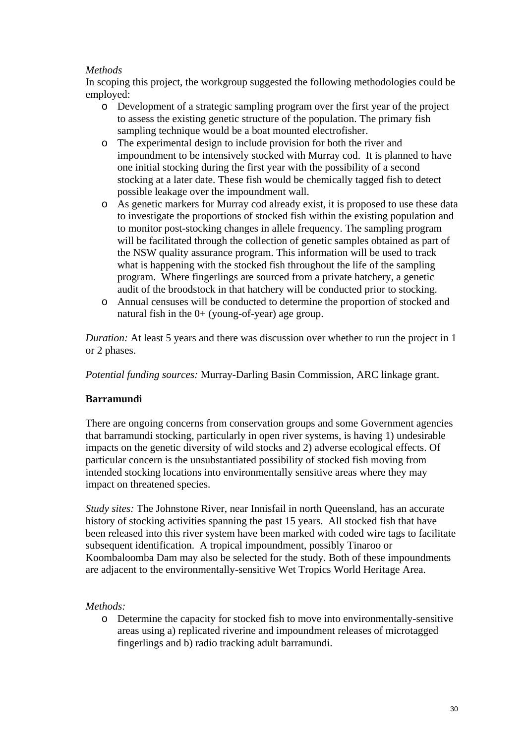#### *Methods*

In scoping this project, the workgroup suggested the following methodologies could be employed:

- o Development of a strategic sampling program over the first year of the project to assess the existing genetic structure of the population. The primary fish sampling technique would be a boat mounted electrofisher.
- o The experimental design to include provision for both the river and impoundment to be intensively stocked with Murray cod. It is planned to have one initial stocking during the first year with the possibility of a second stocking at a later date. These fish would be chemically tagged fish to detect possible leakage over the impoundment wall.
- o As genetic markers for Murray cod already exist, it is proposed to use these data to investigate the proportions of stocked fish within the existing population and to monitor post-stocking changes in allele frequency. The sampling program will be facilitated through the collection of genetic samples obtained as part of the NSW quality assurance program. This information will be used to track what is happening with the stocked fish throughout the life of the sampling program. Where fingerlings are sourced from a private hatchery, a genetic audit of the broodstock in that hatchery will be conducted prior to stocking.
- o Annual censuses will be conducted to determine the proportion of stocked and natural fish in the 0+ (young-of-year) age group.

*Duration:* At least 5 years and there was discussion over whether to run the project in 1 or 2 phases.

*Potential funding sources:* Murray-Darling Basin Commission, ARC linkage grant.

#### **Barramundi**

There are ongoing concerns from conservation groups and some Government agencies that barramundi stocking, particularly in open river systems, is having 1) undesirable impacts on the genetic diversity of wild stocks and 2) adverse ecological effects. Of particular concern is the unsubstantiated possibility of stocked fish moving from intended stocking locations into environmentally sensitive areas where they may impact on threatened species.

*Study sites:* The Johnstone River, near Innisfail in north Queensland, has an accurate history of stocking activities spanning the past 15 years. All stocked fish that have been released into this river system have been marked with coded wire tags to facilitate subsequent identification. A tropical impoundment, possibly Tinaroo or Koombaloomba Dam may also be selected for the study. Both of these impoundments are adjacent to the environmentally-sensitive Wet Tropics World Heritage Area.

#### *Methods:*

o Determine the capacity for stocked fish to move into environmentally-sensitive areas using a) replicated riverine and impoundment releases of microtagged fingerlings and b) radio tracking adult barramundi.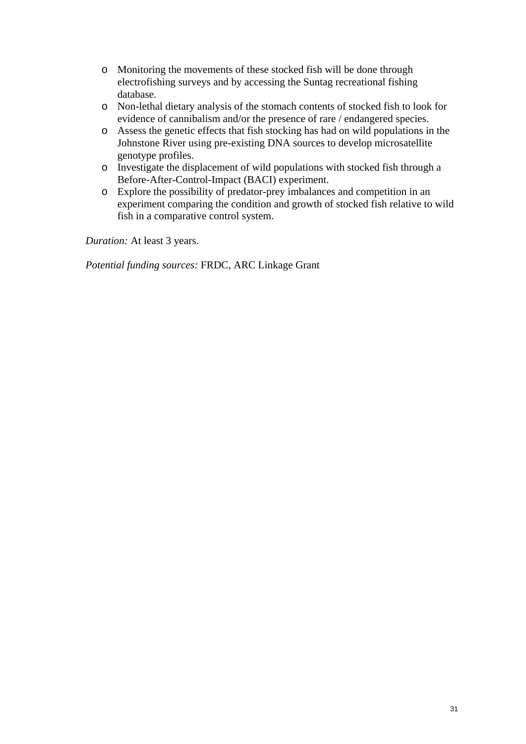- o Monitoring the movements of these stocked fish will be done through electrofishing surveys and by accessing the Suntag recreational fishing database.
- o Non-lethal dietary analysis of the stomach contents of stocked fish to look for evidence of cannibalism and/or the presence of rare / endangered species.
- o Assess the genetic effects that fish stocking has had on wild populations in the Johnstone River using pre-existing DNA sources to develop microsatellite genotype profiles.
- o Investigate the displacement of wild populations with stocked fish through a Before-After-Control-Impact (BACI) experiment.
- o Explore the possibility of predator-prey imbalances and competition in an experiment comparing the condition and growth of stocked fish relative to wild fish in a comparative control system.

*Duration:* At least 3 years.

*Potential funding sources:* FRDC, ARC Linkage Grant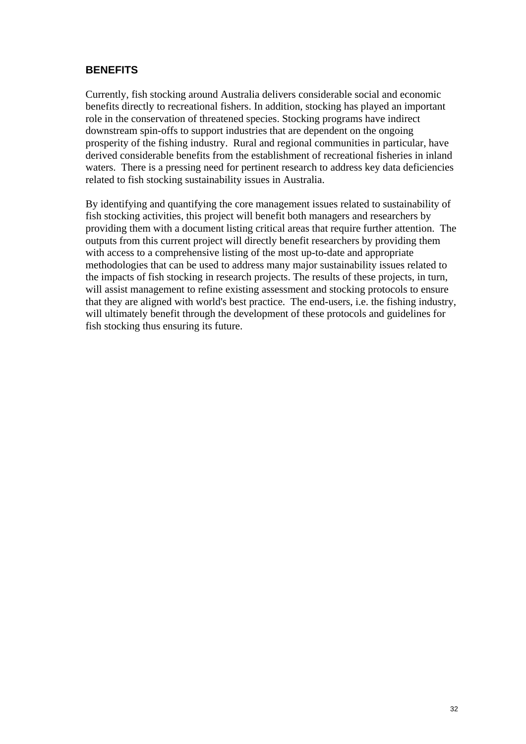#### <span id="page-32-0"></span>**BENEFITS**

Currently, fish stocking around Australia delivers considerable social and economic benefits directly to recreational fishers. In addition, stocking has played an important role in the conservation of threatened species. Stocking programs have indirect downstream spin-offs to support industries that are dependent on the ongoing prosperity of the fishing industry. Rural and regional communities in particular, have derived considerable benefits from the establishment of recreational fisheries in inland waters. There is a pressing need for pertinent research to address key data deficiencies related to fish stocking sustainability issues in Australia.

By identifying and quantifying the core management issues related to sustainability of fish stocking activities, this project will benefit both managers and researchers by providing them with a document listing critical areas that require further attention. The outputs from this current project will directly benefit researchers by providing them with access to a comprehensive listing of the most up-to-date and appropriate methodologies that can be used to address many major sustainability issues related to the impacts of fish stocking in research projects. The results of these projects, in turn, will assist management to refine existing assessment and stocking protocols to ensure that they are aligned with world's best practice. The end-users, i.e. the fishing industry, will ultimately benefit through the development of these protocols and guidelines for fish stocking thus ensuring its future.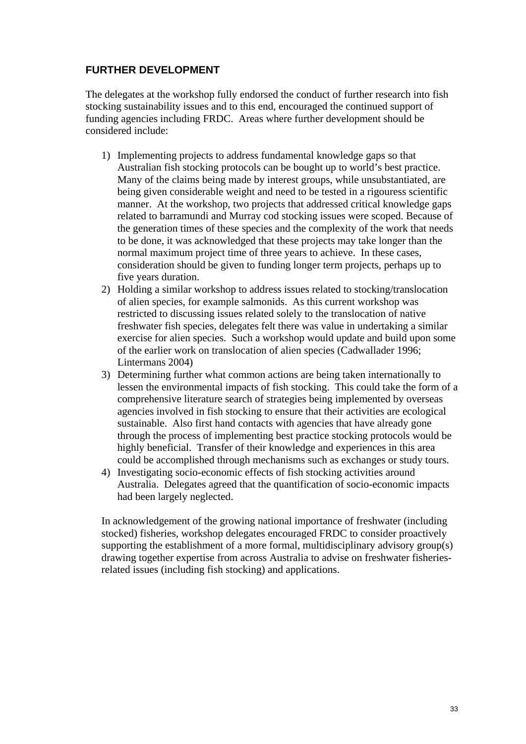#### <span id="page-33-0"></span>**FURTHER DEVELOPMENT**

The delegates at the workshop fully endorsed the conduct of further research into fish stocking sustainability issues and to this end, encouraged the continued support of funding agencies including FRDC. Areas where further development should be considered include:

- 1) Implementing projects to address fundamental knowledge gaps so that Australian fish stocking protocols can be bought up to world's best practice. Many of the claims being made by interest groups, while unsubstantiated, are being given considerable weight and need to be tested in a rigouress scientific manner. At the workshop, two projects that addressed critical knowledge gaps related to barramundi and Murray cod stocking issues were scoped. Because of the generation times of these species and the complexity of the work that needs to be done, it was acknowledged that these projects may take longer than the normal maximum project time of three years to achieve. In these cases, consideration should be given to funding longer term projects, perhaps up to five years duration.
- 2) Holding a similar workshop to address issues related to stocking/translocation of alien species, for example salmonids. As this current workshop was restricted to discussing issues related solely to the translocation of native freshwater fish species, delegates felt there was value in undertaking a similar exercise for alien species. Such a workshop would update and build upon some of the earlier work on translocation of alien species (Cadwallader 1996; Lintermans 2004)
- 3) Determining further what common actions are being taken internationally to lessen the environmental impacts of fish stocking. This could take the form of a comprehensive literature search of strategies being implemented by overseas agencies involved in fish stocking to ensure that their activities are ecological sustainable. Also first hand contacts with agencies that have already gone through the process of implementing best practice stocking protocols would be highly beneficial. Transfer of their knowledge and experiences in this area could be accomplished through mechanisms such as exchanges or study tours.
- 4) Investigating socio-economic effects of fish stocking activities around Australia. Delegates agreed that the quantification of socio-economic impacts had been largely neglected.

In acknowledgement of the growing national importance of freshwater (including stocked) fisheries, workshop delegates encouraged FRDC to consider proactively supporting the establishment of a more formal, multidisciplinary advisory group(s) drawing together expertise from across Australia to advise on freshwater fisheriesrelated issues (including fish stocking) and applications.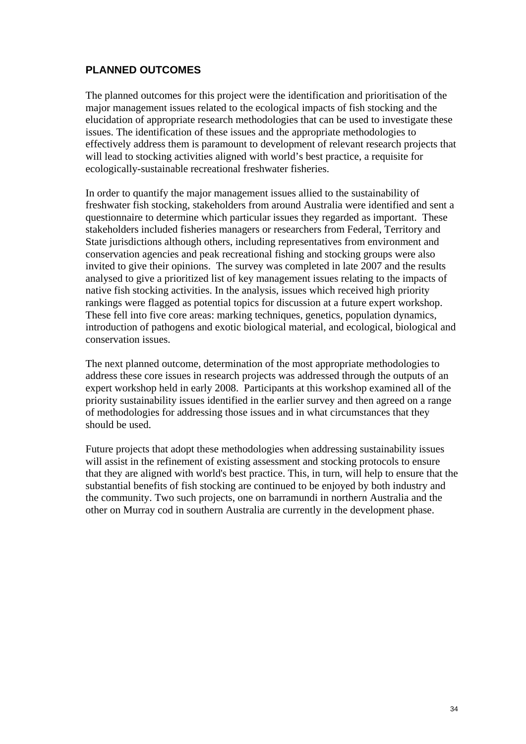#### <span id="page-34-0"></span>**PLANNED OUTCOMES**

The planned outcomes for this project were the identification and prioritisation of the major management issues related to the ecological impacts of fish stocking and the elucidation of appropriate research methodologies that can be used to investigate these issues. The identification of these issues and the appropriate methodologies to effectively address them is paramount to development of relevant research projects that will lead to stocking activities aligned with world's best practice, a requisite for ecologically-sustainable recreational freshwater fisheries.

In order to quantify the major management issues allied to the sustainability of freshwater fish stocking, stakeholders from around Australia were identified and sent a questionnaire to determine which particular issues they regarded as important. These stakeholders included fisheries managers or researchers from Federal, Territory and State jurisdictions although others, including representatives from environment and conservation agencies and peak recreational fishing and stocking groups were also invited to give their opinions. The survey was completed in late 2007 and the results analysed to give a prioritized list of key management issues relating to the impacts of native fish stocking activities. In the analysis, issues which received high priority rankings were flagged as potential topics for discussion at a future expert workshop. These fell into five core areas: marking techniques, genetics, population dynamics, introduction of pathogens and exotic biological material, and ecological, biological and conservation issues.

The next planned outcome, determination of the most appropriate methodologies to address these core issues in research projects was addressed through the outputs of an expert workshop held in early 2008. Participants at this workshop examined all of the priority sustainability issues identified in the earlier survey and then agreed on a range of methodologies for addressing those issues and in what circumstances that they should be used.

Future projects that adopt these methodologies when addressing sustainability issues will assist in the refinement of existing assessment and stocking protocols to ensure that they are aligned with world's best practice. This, in turn, will help to ensure that the substantial benefits of fish stocking are continued to be enjoyed by both industry and the community. Two such projects, one on barramundi in northern Australia and the other on Murray cod in southern Australia are currently in the development phase.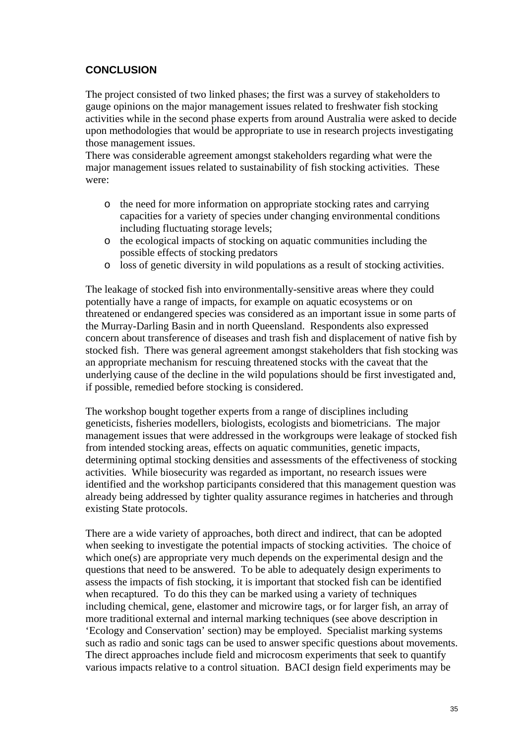#### <span id="page-35-0"></span>**CONCLUSION**

The project consisted of two linked phases; the first was a survey of stakeholders to gauge opinions on the major management issues related to freshwater fish stocking activities while in the second phase experts from around Australia were asked to decide upon methodologies that would be appropriate to use in research projects investigating those management issues.

There was considerable agreement amongst stakeholders regarding what were the major management issues related to sustainability of fish stocking activities. These were:

- o the need for more information on appropriate stocking rates and carrying capacities for a variety of species under changing environmental conditions including fluctuating storage levels;
- o the ecological impacts of stocking on aquatic communities including the possible effects of stocking predators
- o loss of genetic diversity in wild populations as a result of stocking activities.

The leakage of stocked fish into environmentally-sensitive areas where they could potentially have a range of impacts, for example on aquatic ecosystems or on threatened or endangered species was considered as an important issue in some parts of the Murray-Darling Basin and in north Queensland. Respondents also expressed concern about transference of diseases and trash fish and displacement of native fish by stocked fish. There was general agreement amongst stakeholders that fish stocking was an appropriate mechanism for rescuing threatened stocks with the caveat that the underlying cause of the decline in the wild populations should be first investigated and, if possible, remedied before stocking is considered.

The workshop bought together experts from a range of disciplines including geneticists, fisheries modellers, biologists, ecologists and biometricians. The major management issues that were addressed in the workgroups were leakage of stocked fish from intended stocking areas, effects on aquatic communities, genetic impacts, determining optimal stocking densities and assessments of the effectiveness of stocking activities. While biosecurity was regarded as important, no research issues were identified and the workshop participants considered that this management question was already being addressed by tighter quality assurance regimes in hatcheries and through existing State protocols.

There are a wide variety of approaches, both direct and indirect, that can be adopted when seeking to investigate the potential impacts of stocking activities. The choice of which one(s) are appropriate very much depends on the experimental design and the questions that need to be answered. To be able to adequately design experiments to assess the impacts of fish stocking, it is important that stocked fish can be identified when recaptured. To do this they can be marked using a variety of techniques including chemical, gene, elastomer and microwire tags, or for larger fish, an array of more traditional external and internal marking techniques (see above description in '[Ecology and Conservation](#page-20-1)' section) may be employed. Specialist marking systems such as radio and sonic tags can be used to answer specific questions about movements. The direct approaches include field and microcosm experiments that seek to quantify various impacts relative to a control situation. BACI design field experiments may be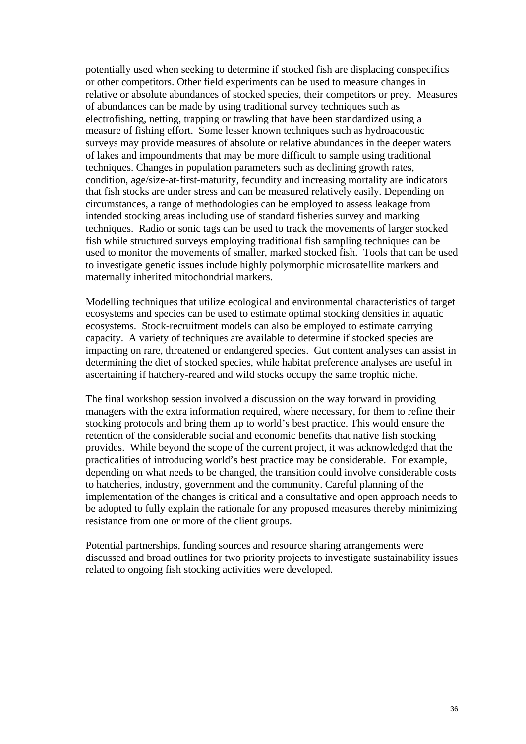potentially used when seeking to determine if stocked fish are displacing conspecifics or other competitors. Other field experiments can be used to measure changes in relative or absolute abundances of stocked species, their competitors or prey. Measures of abundances can be made by using traditional survey techniques such as electrofishing, netting, trapping or trawling that have been standardized using a measure of fishing effort. Some lesser known techniques such as hydroacoustic surveys may provide measures of absolute or relative abundances in the deeper waters of lakes and impoundments that may be more difficult to sample using traditional techniques. Changes in population parameters such as declining growth rates, condition, age/size-at-first-maturity, fecundity and increasing mortality are indicators that fish stocks are under stress and can be measured relatively easily. Depending on circumstances, a range of methodologies can be employed to assess leakage from intended stocking areas including use of standard fisheries survey and marking techniques. Radio or sonic tags can be used to track the movements of larger stocked fish while structured surveys employing traditional fish sampling techniques can be used to monitor the movements of smaller, marked stocked fish. Tools that can be used to investigate genetic issues include highly polymorphic microsatellite markers and maternally inherited mitochondrial markers.

Modelling techniques that utilize ecological and environmental characteristics of target ecosystems and species can be used to estimate optimal stocking densities in aquatic ecosystems. Stock-recruitment models can also be employed to estimate carrying capacity. A variety of techniques are available to determine if stocked species are impacting on rare, threatened or endangered species. Gut content analyses can assist in determining the diet of stocked species, while habitat preference analyses are useful in ascertaining if hatchery-reared and wild stocks occupy the same trophic niche.

The final workshop session involved a discussion on the way forward in providing managers with the extra information required, where necessary, for them to refine their stocking protocols and bring them up to world's best practice. This would ensure the retention of the considerable social and economic benefits that native fish stocking provides. While beyond the scope of the current project, it was acknowledged that the practicalities of introducing world's best practice may be considerable. For example, depending on what needs to be changed, the transition could involve considerable costs to hatcheries, industry, government and the community. Careful planning of the implementation of the changes is critical and a consultative and open approach needs to be adopted to fully explain the rationale for any proposed measures thereby minimizing resistance from one or more of the client groups.

Potential partnerships, funding sources and resource sharing arrangements were discussed and broad outlines for two priority projects to investigate sustainability issues related to ongoing fish stocking activities were developed.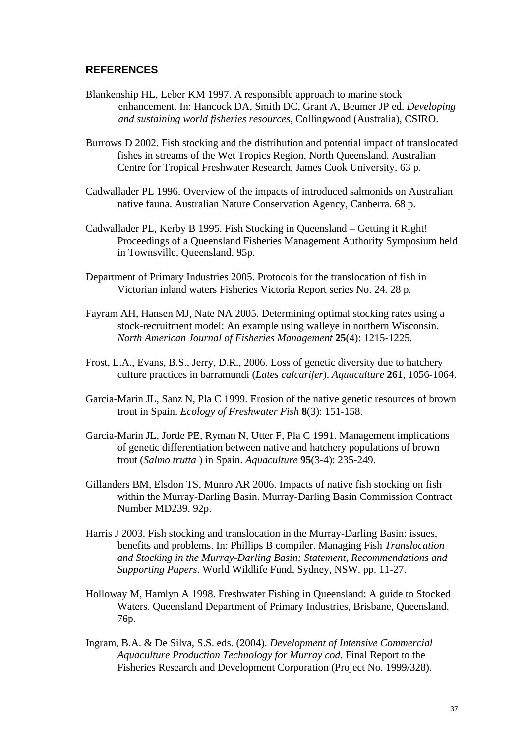#### <span id="page-37-0"></span>**REFERENCES**

- Blankenship HL, Leber KM 1997. A responsible approach to marine stock enhancement. In: Hancock DA, Smith DC, Grant A, Beumer JP ed. *Developing and sustaining world fisheries resources*, Collingwood (Australia), CSIRO.
- Burrows D 2002. Fish stocking and the distribution and potential impact of translocated fishes in streams of the Wet Tropics Region, North Queensland. Australian Centre for Tropical Freshwater Research, James Cook University. 63 p.
- Cadwallader PL 1996. Overview of the impacts of introduced salmonids on Australian native fauna. Australian Nature Conservation Agency, Canberra. 68 p.
- Cadwallader PL, Kerby B 1995. Fish Stocking in Queensland Getting it Right! Proceedings of a Queensland Fisheries Management Authority Symposium held in Townsville, Queensland. 95p.
- Department of Primary Industries 2005. Protocols for the translocation of fish in Victorian inland waters Fisheries Victoria Report series No. 24. 28 p.
- Fayram AH, Hansen MJ, Nate NA 2005. Determining optimal stocking rates using a stock-recruitment model: An example using walleye in northern Wisconsin. *North American Journal of Fisheries Management* **25**(4): 1215-1225.
- Frost, L.A., Evans, B.S., Jerry, D.R., 2006. Loss of genetic diversity due to hatchery culture practices in barramundi (*Lates calcarifer*). *Aquaculture* **261**, 1056-1064.
- Garcia-Marin JL, Sanz N, Pla C 1999. Erosion of the native genetic resources of brown trout in Spain. *Ecology of Freshwater Fish* **8**(3): 151-158.
- Garcia-Marin JL, Jorde PE, Ryman N, Utter F, Pla C 1991. Management implications of genetic differentiation between native and hatchery populations of brown trout (*Salmo trutta* ) in Spain. *Aquaculture* **95**(3-4): 235-249.
- Gillanders BM, Elsdon TS, Munro AR 2006. Impacts of native fish stocking on fish within the Murray-Darling Basin. Murray-Darling Basin Commission Contract Number MD239. 92p.
- Harris J 2003. Fish stocking and translocation in the Murray-Darling Basin: issues, benefits and problems. In: Phillips B compiler. Managing Fish *Translocation and Stocking in the Murray-Darling Basin; Statement, Recommendations and Supporting Papers*. World Wildlife Fund, Sydney, NSW. pp. 11-27.
- Holloway M, Hamlyn A 1998. Freshwater Fishing in Queensland: A guide to Stocked Waters. Queensland Department of Primary Industries, Brisbane, Queensland. 76p.
- Ingram, B.A. & De Silva, S.S. eds. (2004). *Development of Intensive Commercial Aquaculture Production Technology for Murray cod*. Final Report to the Fisheries Research and Development Corporation (Project No. 1999/328).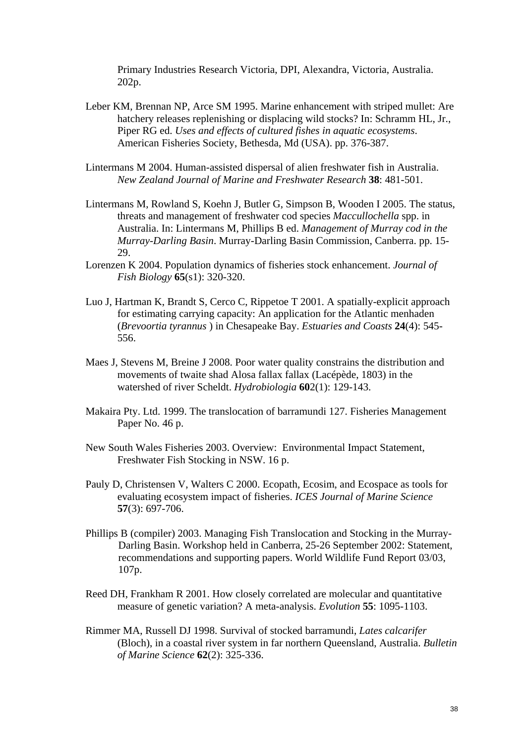Primary Industries Research Victoria, DPI, Alexandra, Victoria, Australia. 202p.

- Leber KM, Brennan NP, Arce SM 1995. Marine enhancement with striped mullet: Are hatchery releases replenishing or displacing wild stocks? In: Schramm HL, Jr., Piper RG ed. *Uses and effects of cultured fishes in aquatic ecosystems*. American Fisheries Society, Bethesda, Md (USA). pp. 376-387.
- Lintermans M 2004. Human-assisted dispersal of alien freshwater fish in Australia. *New Zealand Journal of Marine and Freshwater Research* **38**: 481-501.
- Lintermans M, Rowland S, Koehn J, Butler G, Simpson B, Wooden I 2005. The status, threats and management of freshwater cod species *Maccullochella* spp. in Australia. In: Lintermans M, Phillips B ed. *Management of Murray cod in the Murray-Darling Basin*. Murray-Darling Basin Commission, Canberra. pp. 15- 29.
- Lorenzen K 2004. Population dynamics of fisheries stock enhancement. *Journal of Fish Biology* **65**(s1): 320-320.
- Luo J, Hartman K, Brandt S, Cerco C, Rippetoe T 2001. A spatially-explicit approach for estimating carrying capacity: An application for the Atlantic menhaden (*Brevoortia tyrannus* ) in Chesapeake Bay. *Estuaries and Coasts* **24**(4): 545- 556.
- Maes J, Stevens M, Breine J 2008. Poor water quality constrains the distribution and movements of twaite shad Alosa fallax fallax (Lacépède, 1803) in the watershed of river Scheldt. *Hydrobiologia* **60**2(1): 129-143.
- Makaira Pty. Ltd. 1999. The translocation of barramundi 127. Fisheries Management Paper No. 46 p.
- New South Wales Fisheries 2003. Overview: Environmental Impact Statement, Freshwater Fish Stocking in NSW. 16 p.
- Pauly D, Christensen V, Walters C 2000. Ecopath, Ecosim, and Ecospace as tools for evaluating ecosystem impact of fisheries. *ICES Journal of Marine Science* **57**(3): 697-706.
- Phillips B (compiler) 2003. Managing Fish Translocation and Stocking in the Murray-Darling Basin. Workshop held in Canberra, 25-26 September 2002: Statement, recommendations and supporting papers. World Wildlife Fund Report 03/03, 107p.
- Reed DH, Frankham R 2001. How closely correlated are molecular and quantitative measure of genetic variation? A meta-analysis. *Evolution* **55**: 1095-1103.
- Rimmer MA, Russell DJ 1998. Survival of stocked barramundi, *Lates calcarifer* (Bloch), in a coastal river system in far northern Queensland, Australia. *Bulletin of Marine Science* **62**(2): 325-336.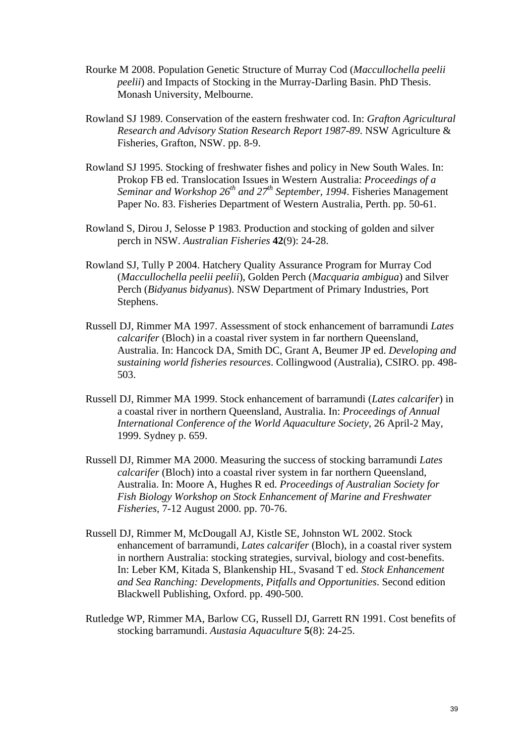- Rourke M 2008. Population Genetic Structure of Murray Cod (*Maccullochella peelii peelii*) and Impacts of Stocking in the Murray-Darling Basin. PhD Thesis. Monash University, Melbourne.
- Rowland SJ 1989. Conservation of the eastern freshwater cod. In: *Grafton Agricultural Research and Advisory Station Research Report 1987-89*. NSW Agriculture & Fisheries, Grafton, NSW. pp. 8-9.
- Rowland SJ 1995. Stocking of freshwater fishes and policy in New South Wales. In: Prokop FB ed. Translocation Issues in Western Australia: *Proceedings of a Seminar and Workshop 26th and 27th September, 1994*. Fisheries Management Paper No. 83. Fisheries Department of Western Australia, Perth. pp. 50-61.
- Rowland S, Dirou J, Selosse P 1983. Production and stocking of golden and silver perch in NSW. *Australian Fisheries* **42**(9): 24-28.
- Rowland SJ, Tully P 2004. Hatchery Quality Assurance Program for Murray Cod (*Maccullochella peelii peelii*), Golden Perch (*Macquaria ambigua*) and Silver Perch (*Bidyanus bidyanus*). NSW Department of Primary Industries, Port Stephens.
- Russell DJ, Rimmer MA 1997. Assessment of stock enhancement of barramundi *Lates calcarifer* (Bloch) in a coastal river system in far northern Queensland, Australia. In: Hancock DA, Smith DC, Grant A, Beumer JP ed. *Developing and sustaining world fisheries resources*. Collingwood (Australia), CSIRO. pp. 498- 503.
- Russell DJ, Rimmer MA 1999. Stock enhancement of barramundi (*Lates calcarifer*) in a coastal river in northern Queensland, Australia. In: *Proceedings of Annual International Conference of the World Aquaculture Society*, 26 April-2 May, 1999. Sydney p. 659.
- Russell DJ, Rimmer MA 2000. Measuring the success of stocking barramundi *Lates calcarifer* (Bloch) into a coastal river system in far northern Queensland, Australia. In: Moore A, Hughes R ed. *Proceedings of Australian Society for Fish Biology Workshop on Stock Enhancement of Marine and Freshwater Fisheries*, 7-12 August 2000. pp. 70-76.
- Russell DJ, Rimmer M, McDougall AJ, Kistle SE, Johnston WL 2002. Stock enhancement of barramundi, *Lates calcarifer* (Bloch), in a coastal river system in northern Australia: stocking strategies, survival, biology and cost-benefits. In: Leber KM, Kitada S, Blankenship HL, Svasand T ed. *Stock Enhancement and Sea Ranching: Developments, Pitfalls and Opportunities*. Second edition Blackwell Publishing, Oxford. pp. 490-500.
- Rutledge WP, Rimmer MA, Barlow CG, Russell DJ, Garrett RN 1991. Cost benefits of stocking barramundi. *Austasia Aquaculture* **5**(8): 24-25.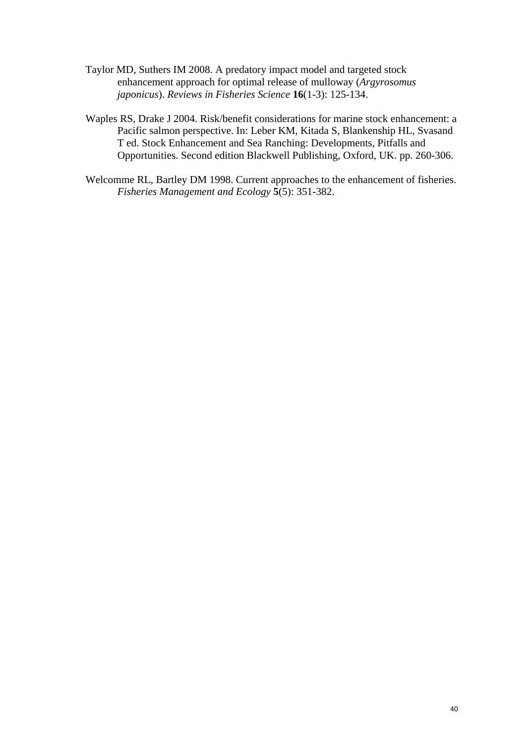- Taylor MD, Suthers IM 2008. A predatory impact model and targeted stock enhancement approach for optimal release of mulloway (*Argyrosomus japonicus*). *Reviews in Fisheries Science* **16**(1-3): 125-134.
- Waples RS, Drake J 2004. Risk/benefit considerations for marine stock enhancement: a Pacific salmon perspective. In: Leber KM, Kitada S, Blankenship HL, Svasand T ed. Stock Enhancement and Sea Ranching: Developments, Pitfalls and Opportunities. Second edition Blackwell Publishing, Oxford, UK. pp. 260-306.
- Welcomme RL, Bartley DM 1998. Current approaches to the enhancement of fisheries. *Fisheries Management and Ecology* **5**(5): 351-382.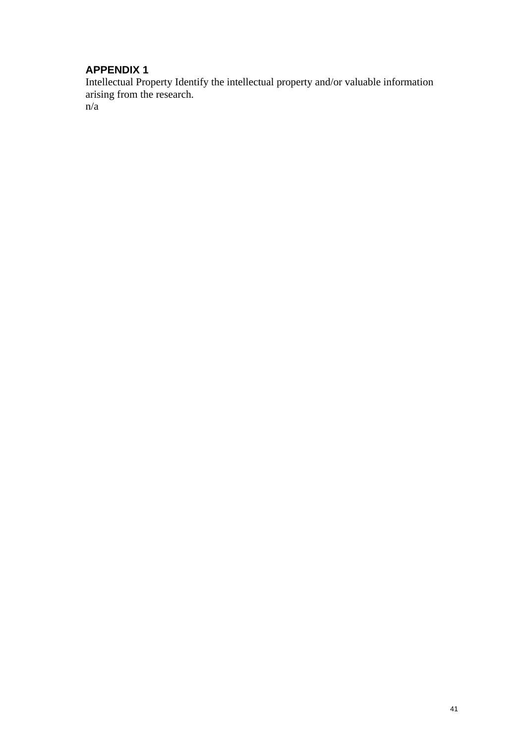<span id="page-41-0"></span>Intellectual Property Identify the intellectual property and/or valuable information arising from the research. n/a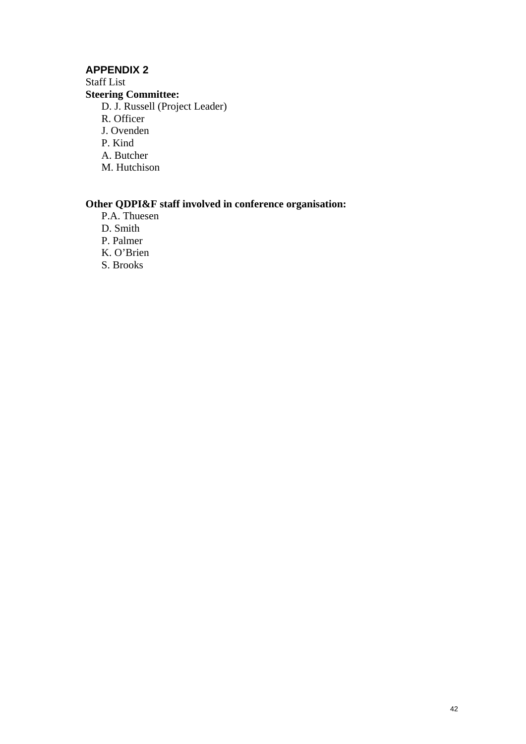<span id="page-42-0"></span>Staff List **Steering Committee:** D. J. Russell (Project Leader) R. Officer J. Ovenden P. Kind A. Butcher M. Hutchison

#### **Other QDPI&F staff involved in conference organisation:**

P.A. Thuesen D. Smith P. Palmer K. O'Brien S. Brooks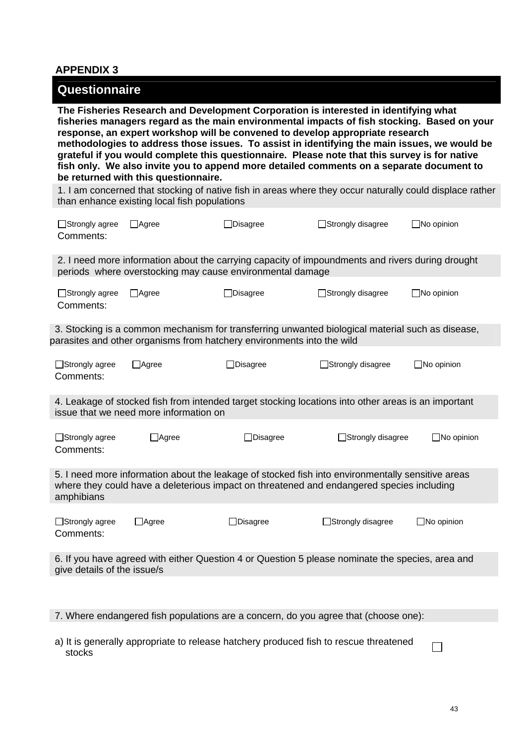<span id="page-43-1"></span><span id="page-43-0"></span>

| Questionnaire                                                                                                                                                                                                                                                                                                                                                                                                                                                                                                                                                                                             |                                              |                  |                                                                                                          |                   |
|-----------------------------------------------------------------------------------------------------------------------------------------------------------------------------------------------------------------------------------------------------------------------------------------------------------------------------------------------------------------------------------------------------------------------------------------------------------------------------------------------------------------------------------------------------------------------------------------------------------|----------------------------------------------|------------------|----------------------------------------------------------------------------------------------------------|-------------------|
| The Fisheries Research and Development Corporation is interested in identifying what<br>fisheries managers regard as the main environmental impacts of fish stocking. Based on your<br>response, an expert workshop will be convened to develop appropriate research<br>methodologies to address those issues. To assist in identifying the main issues, we would be<br>grateful if you would complete this questionnaire. Please note that this survey is for native<br>fish only. We also invite you to append more detailed comments on a separate document to<br>be returned with this questionnaire. |                                              |                  |                                                                                                          |                   |
|                                                                                                                                                                                                                                                                                                                                                                                                                                                                                                                                                                                                           | than enhance existing local fish populations |                  | 1. I am concerned that stocking of native fish in areas where they occur naturally could displace rather |                   |
| □Strongly agree<br>Comments:                                                                                                                                                                                                                                                                                                                                                                                                                                                                                                                                                                              | $\Box$ Agree                                 | $\Box$ Disagree  | □Strongly disagree                                                                                       | $\Box$ No opinion |
| 2. I need more information about the carrying capacity of impoundments and rivers during drought<br>periods where overstocking may cause environmental damage                                                                                                                                                                                                                                                                                                                                                                                                                                             |                                              |                  |                                                                                                          |                   |
| □Strongly agree<br>Comments:                                                                                                                                                                                                                                                                                                                                                                                                                                                                                                                                                                              | $\Box$ Agree                                 | $\Box$ Disagree  | Strongly disagree                                                                                        | $\Box$ No opinion |
| 3. Stocking is a common mechanism for transferring unwanted biological material such as disease,<br>parasites and other organisms from hatchery environments into the wild                                                                                                                                                                                                                                                                                                                                                                                                                                |                                              |                  |                                                                                                          |                   |
| $\Box$ Strongly agree<br>Comments:                                                                                                                                                                                                                                                                                                                                                                                                                                                                                                                                                                        | $\Box$ Agree                                 | <b>]Disagree</b> | □Strongly disagree                                                                                       | $\Box$ No opinion |
| 4. Leakage of stocked fish from intended target stocking locations into other areas is an important<br>issue that we need more information on                                                                                                                                                                                                                                                                                                                                                                                                                                                             |                                              |                  |                                                                                                          |                   |
| □Strongly agree<br>Comments:                                                                                                                                                                                                                                                                                                                                                                                                                                                                                                                                                                              | $\Box$ Agree                                 | ]Disagree        | □Strongly disagree                                                                                       | $\Box$ No opinion |
| 5. I need more information about the leakage of stocked fish into environmentally sensitive areas<br>where they could have a deleterious impact on threatened and endangered species including<br>amphibians                                                                                                                                                                                                                                                                                                                                                                                              |                                              |                  |                                                                                                          |                   |
| □Strongly agree<br>Comments:                                                                                                                                                                                                                                                                                                                                                                                                                                                                                                                                                                              | $\Box$ Agree                                 | $\Box$ Disagree  | Strongly disagree                                                                                        | $\Box$ No opinion |
| 6. If you have agreed with either Question 4 or Question 5 please nominate the species, area and<br>give details of the issue/s                                                                                                                                                                                                                                                                                                                                                                                                                                                                           |                                              |                  |                                                                                                          |                   |
| 7. Where endangered fish populations are a concern, do you agree that (choose one):                                                                                                                                                                                                                                                                                                                                                                                                                                                                                                                       |                                              |                  |                                                                                                          |                   |

 $\Box$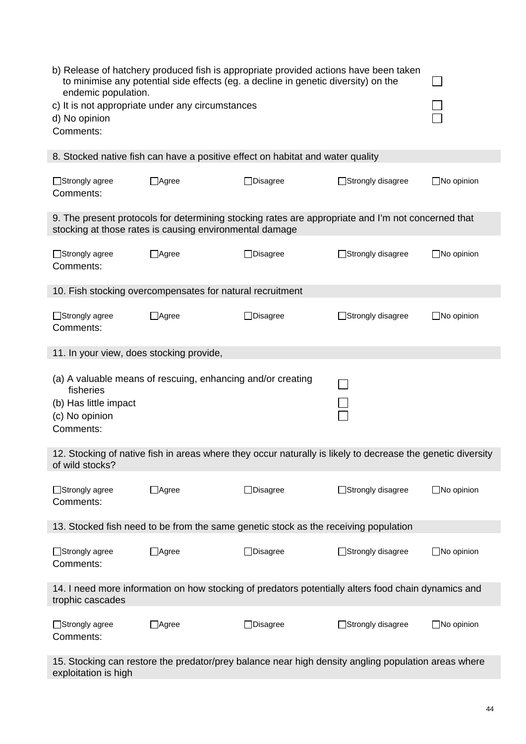| b) Release of hatchery produced fish is appropriate provided actions have been taken<br>to minimise any potential side effects (eg. a decline in genetic diversity) on the<br>endemic population.<br>c) It is not appropriate under any circumstances<br>d) No opinion<br>Comments: |                                                                                                                                                               |                                                                                                                         |                          |                   |
|-------------------------------------------------------------------------------------------------------------------------------------------------------------------------------------------------------------------------------------------------------------------------------------|---------------------------------------------------------------------------------------------------------------------------------------------------------------|-------------------------------------------------------------------------------------------------------------------------|--------------------------|-------------------|
|                                                                                                                                                                                                                                                                                     | 8. Stocked native fish can have a positive effect on habitat and water quality                                                                                |                                                                                                                         |                          |                   |
| □Strongly agree<br>Comments:                                                                                                                                                                                                                                                        | $\Box$ Agree                                                                                                                                                  | ]Disagree                                                                                                               | Strongly disagree        | $\Box$ No opinion |
|                                                                                                                                                                                                                                                                                     | 9. The present protocols for determining stocking rates are appropriate and I'm not concerned that<br>stocking at those rates is causing environmental damage |                                                                                                                         |                          |                   |
| □Strongly agree<br>Comments:                                                                                                                                                                                                                                                        | $\Box$ Agree                                                                                                                                                  | $\Box$ Disagree                                                                                                         | □Strongly disagree       | $\Box$ No opinion |
|                                                                                                                                                                                                                                                                                     | 10. Fish stocking overcompensates for natural recruitment                                                                                                     |                                                                                                                         |                          |                   |
| □Strongly agree<br>Comments:                                                                                                                                                                                                                                                        | $\Box$ Agree                                                                                                                                                  | $\Box$ Disagree                                                                                                         | □Strongly disagree       | $\Box$ No opinion |
| 11. In your view, does stocking provide,                                                                                                                                                                                                                                            |                                                                                                                                                               |                                                                                                                         |                          |                   |
| fisheries<br>(b) Has little impact<br>(c) No opinion<br>Comments:                                                                                                                                                                                                                   | (a) A valuable means of rescuing, enhancing and/or creating                                                                                                   |                                                                                                                         |                          |                   |
| 12. Stocking of native fish in areas where they occur naturally is likely to decrease the genetic diversity<br>of wild stocks?                                                                                                                                                      |                                                                                                                                                               |                                                                                                                         |                          |                   |
| □Strongly agree<br>Comments:                                                                                                                                                                                                                                                        | $\Box$ Agree                                                                                                                                                  | $\Box$ Disagree                                                                                                         | Strongly disagree        | $\Box$ No opinion |
| 13. Stocked fish need to be from the same genetic stock as the receiving population                                                                                                                                                                                                 |                                                                                                                                                               |                                                                                                                         |                          |                   |
| □Strongly agree<br>Comments:                                                                                                                                                                                                                                                        | $\Box$ Agree                                                                                                                                                  | □Disagree                                                                                                               | $\Box$ Strongly disagree | $\Box$ No opinion |
|                                                                                                                                                                                                                                                                                     |                                                                                                                                                               | 14. I need more information on how stocking of predators potentially alters food chain dynamics and<br>trophic cascades |                          |                   |
|                                                                                                                                                                                                                                                                                     |                                                                                                                                                               |                                                                                                                         |                          |                   |
| □Strongly agree<br>Comments:                                                                                                                                                                                                                                                        | $\Box$ Agree                                                                                                                                                  | $\Box$ Disagree                                                                                                         | Strongly disagree        | $\Box$ No opinion |

15. Stocking can restore the predator/prey balance near high density angling population areas where exploitation is high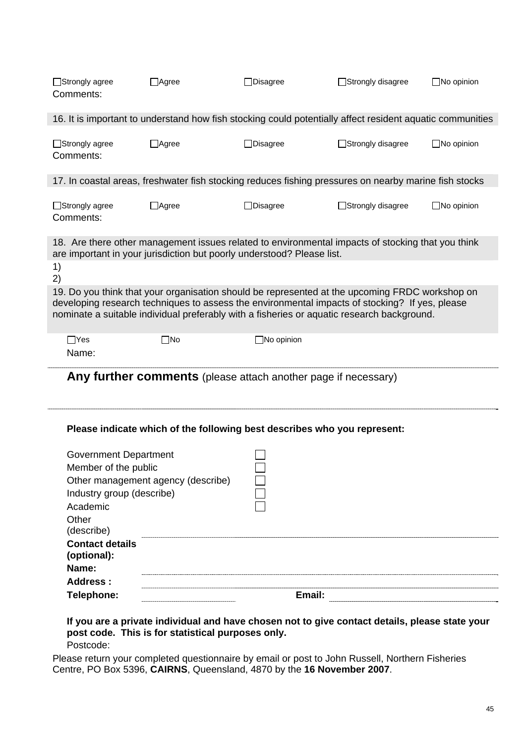| $\Box$ Strongly agree<br>Comments:                                                                                   | $\Box$ Agree                       | □Disagree         | □Strongly disagree                                                                                                                                                                                                                                                                             | $\Box$ No opinion |
|----------------------------------------------------------------------------------------------------------------------|------------------------------------|-------------------|------------------------------------------------------------------------------------------------------------------------------------------------------------------------------------------------------------------------------------------------------------------------------------------------|-------------------|
|                                                                                                                      |                                    |                   | 16. It is important to understand how fish stocking could potentially affect resident aquatic communities                                                                                                                                                                                      |                   |
| □Strongly agree<br>Comments:                                                                                         | $\Box$ Agree                       | □Disagree         | Strongly disagree                                                                                                                                                                                                                                                                              | $\Box$ No opinion |
|                                                                                                                      |                                    |                   | 17. In coastal areas, freshwater fish stocking reduces fishing pressures on nearby marine fish stocks                                                                                                                                                                                          |                   |
| □Strongly agree<br>Comments:                                                                                         | $\Box$ Agree                       | □Disagree         | Strongly disagree                                                                                                                                                                                                                                                                              | $\Box$ No opinion |
| are important in your jurisdiction but poorly understood? Please list.                                               |                                    |                   | 18. Are there other management issues related to environmental impacts of stocking that you think                                                                                                                                                                                              |                   |
| 1)<br>2)                                                                                                             |                                    |                   |                                                                                                                                                                                                                                                                                                |                   |
|                                                                                                                      |                                    |                   | 19. Do you think that your organisation should be represented at the upcoming FRDC workshop on<br>developing research techniques to assess the environmental impacts of stocking? If yes, please<br>nominate a suitable individual preferably with a fisheries or aquatic research background. |                   |
| $\Box$ Yes<br>Name:                                                                                                  | $\square$ No                       | $\Box$ No opinion |                                                                                                                                                                                                                                                                                                |                   |
|                                                                                                                      |                                    |                   | Any further comments (please attach another page if necessary)                                                                                                                                                                                                                                 |                   |
|                                                                                                                      |                                    |                   | Please indicate which of the following best describes who you represent:                                                                                                                                                                                                                       |                   |
| <b>Government Department</b><br>Member of the public<br>Industry group (describe)<br>Academic<br>Other<br>(describe) | Other management agency (describe) |                   |                                                                                                                                                                                                                                                                                                |                   |
| <b>Contact details</b><br>(optional):<br>Name:                                                                       |                                    |                   |                                                                                                                                                                                                                                                                                                |                   |
| Address:                                                                                                             |                                    |                   |                                                                                                                                                                                                                                                                                                |                   |
| Telephone:                                                                                                           |                                    |                   | Email:                                                                                                                                                                                                                                                                                         |                   |
|                                                                                                                      |                                    |                   | If you are a private individual and have chosen not to give contact details, please state your                                                                                                                                                                                                 |                   |

**post code. This is for statistical purposes only.**  Postcode:

Please return your completed questionnaire by email or post to John Russell, Northern Fisheries Centre, PO Box 5396, **CAIRNS**, Queensland, 4870 by the **16 November 2007**.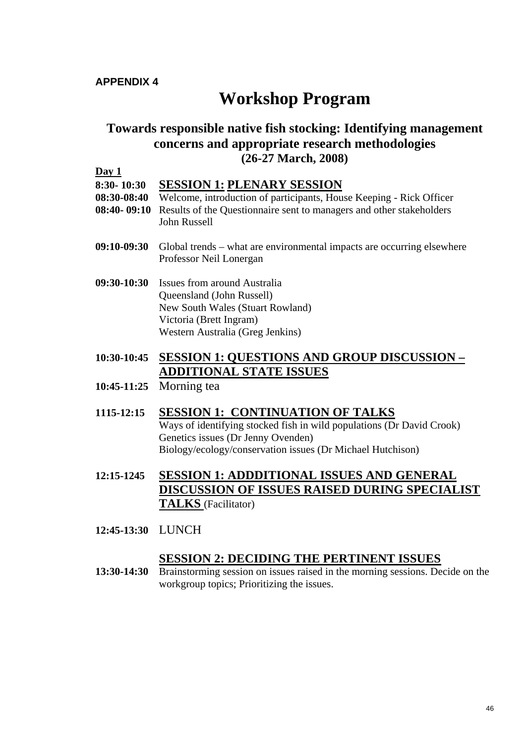# **Workshop Program**

#### <span id="page-46-1"></span><span id="page-46-0"></span>**Towards responsible native fish stocking: Identifying management concerns and appropriate research methodologies (26-27 March, 2008)**

#### **Day 1**

**8:30- 10:30 SESSION 1: PLENARY SESSION 08:30-08:40** Welcome, introduction of participants, House Keeping - Rick Officer

- **08:40- 09:10** Results of the Questionnaire sent to managers and other stakeholders John Russell
- **09:10-09:30** Global trends what are environmental impacts are occurring elsewhere Professor Neil Lonergan
- **09:30-10:30** Issues from around Australia Queensland (John Russell) New South Wales (Stuart Rowland) Victoria (Brett Ingram) Western Australia (Greg Jenkins)

#### **10:30-10:45 SESSION 1: QUESTIONS AND GROUP DISCUSSION – ADDITIONAL STATE ISSUES**

**10:45-11:25** Morning tea

#### **1115-12:15 SESSION 1: CONTINUATION OF TALKS**

Ways of identifying stocked fish in wild populations (Dr David Crook) Genetics issues (Dr Jenny Ovenden) Biology/ecology/conservation issues (Dr Michael Hutchison)

- **12:15-1245 SESSION 1: ADDDITIONAL ISSUES AND GENERAL DISCUSSION OF ISSUES RAISED DURING SPECIALIST TALKS** (Facilitator)
- **12:45-13:30** LUNCH

#### **SESSION 2: DECIDING THE PERTINENT ISSUES**

**13:30-14:30** Brainstorming session on issues raised in the morning sessions. Decide on the workgroup topics; Prioritizing the issues.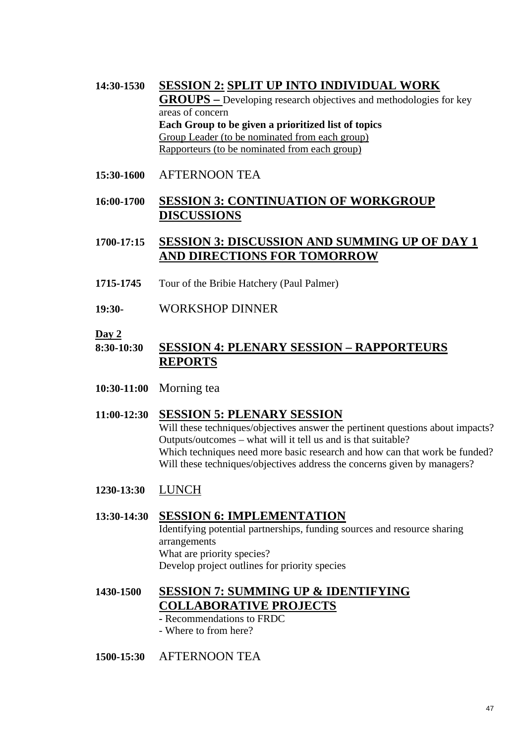**14:30-1530 SESSION 2: SPLIT UP INTO INDIVIDUAL WORK GROUPS –** Developing research objectives and methodologies for key areas of concern **Each Group to be given a prioritized list of topics** Group Leader (to be nominated from each group) Rapporteurs (to be nominated from each group)

**15:30-1600** AFTERNOON TEA

#### **16:00-1700 SESSION 3: CONTINUATION OF WORKGROUP DISCUSSIONS**

#### **1700-17:15 SESSION 3: DISCUSSION AND SUMMING UP OF DAY 1 AND DIRECTIONS FOR TOMORROW**

- **1715-1745** Tour of the Bribie Hatchery (Paul Palmer)
- **19:30-** WORKSHOP DINNER

#### **Day 2**

#### **8:30-10:30 SESSION 4: PLENARY SESSION – RAPPORTEURS REPORTS**

**10:30-11:00** Morning tea

#### **11:00-12:30 SESSION 5: PLENARY SESSION**

Will these techniques/objectives answer the pertinent questions about impacts? Outputs/outcomes – what will it tell us and is that suitable? Which techniques need more basic research and how can that work be funded? Will these techniques/objectives address the concerns given by managers?

**1230-13:30** LUNCH

#### **13:30-14:30 SESSION 6: IMPLEMENTATION**

Identifying potential partnerships, funding sources and resource sharing arrangements What are priority species? Develop project outlines for priority species

## **1430-1500 SESSION 7: SUMMING UP & IDENTIFYING COLLABORATIVE PROJECTS**

- Recommendations to FRDC
- Where to from here?
- **1500-15:30** AFTERNOON TEA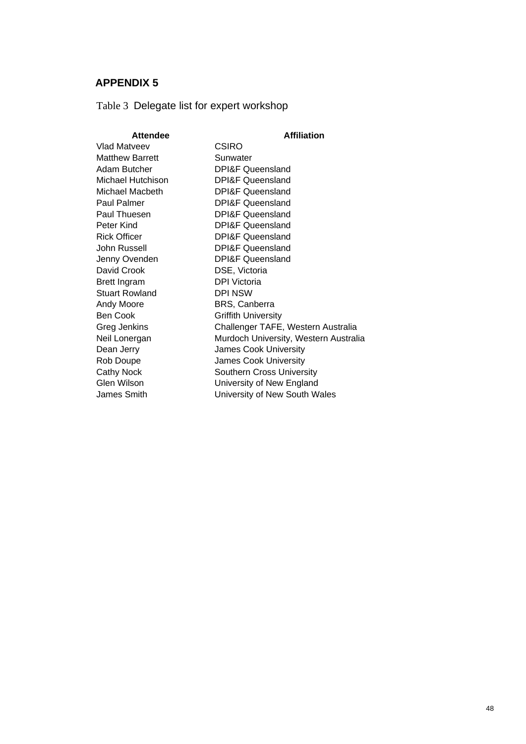<span id="page-48-1"></span><span id="page-48-0"></span>Table 3 Delegate list for expert workshop

| <b>Attendee</b>        | <b>Affiliation</b>                    |
|------------------------|---------------------------------------|
| Vlad Matveev           | <b>CSIRO</b>                          |
| <b>Matthew Barrett</b> | Sunwater                              |
| Adam Butcher           | <b>DPI&amp;F Queensland</b>           |
| Michael Hutchison      | <b>DPI&amp;F Queensland</b>           |
| Michael Macbeth        | <b>DPI&amp;F Queensland</b>           |
| <b>Paul Palmer</b>     | <b>DPI&amp;F Queensland</b>           |
| Paul Thuesen           | <b>DPI&amp;F Queensland</b>           |
| Peter Kind             | <b>DPI&amp;F Queensland</b>           |
| <b>Rick Officer</b>    | <b>DPI&amp;F Queensland</b>           |
| John Russell           | <b>DPI&amp;F Queensland</b>           |
| Jenny Ovenden          | <b>DPI&amp;F Queensland</b>           |
| David Crook            | DSE, Victoria                         |
| <b>Brett Ingram</b>    | DPI Victoria                          |
| <b>Stuart Rowland</b>  | <b>DPI NSW</b>                        |
| Andy Moore             | BRS, Canberra                         |
| Ben Cook               | <b>Griffith University</b>            |
| Greg Jenkins           | Challenger TAFE, Western Australia    |
| Neil Lonergan          | Murdoch University, Western Australia |
| Dean Jerry             | <b>James Cook University</b>          |
| Rob Doupe              | James Cook University                 |
| <b>Cathy Nock</b>      | <b>Southern Cross University</b>      |
| Glen Wilson            | University of New England             |
| James Smith            | University of New South Wales         |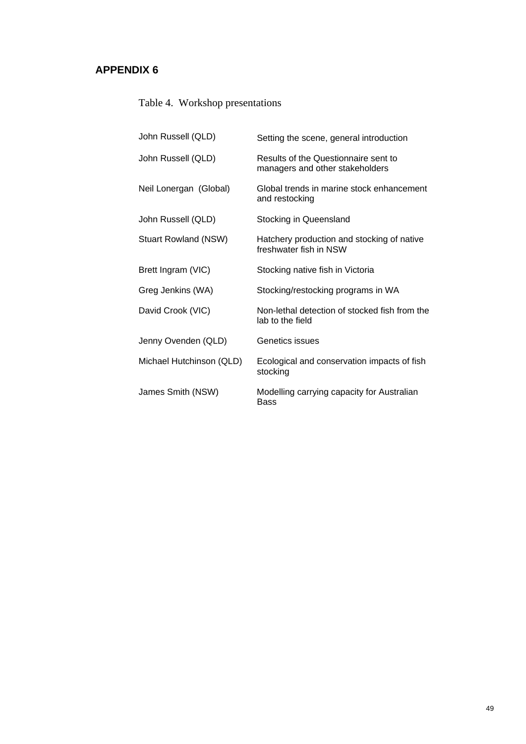# <span id="page-49-0"></span>Table 4. Workshop presentations

| John Russell (QLD)          | Setting the scene, general introduction                                 |
|-----------------------------|-------------------------------------------------------------------------|
| John Russell (QLD)          | Results of the Questionnaire sent to<br>managers and other stakeholders |
| Neil Lonergan (Global)      | Global trends in marine stock enhancement<br>and restocking             |
| John Russell (QLD)          | Stocking in Queensland                                                  |
| <b>Stuart Rowland (NSW)</b> | Hatchery production and stocking of native<br>freshwater fish in NSW    |
| Brett Ingram (VIC)          | Stocking native fish in Victoria                                        |
| Greg Jenkins (WA)           | Stocking/restocking programs in WA                                      |
| David Crook (VIC)           | Non-lethal detection of stocked fish from the<br>lab to the field       |
| Jenny Ovenden (QLD)         | Genetics issues                                                         |
| Michael Hutchinson (QLD)    | Ecological and conservation impacts of fish<br>stocking                 |
| James Smith (NSW)           | Modelling carrying capacity for Australian<br>Bass                      |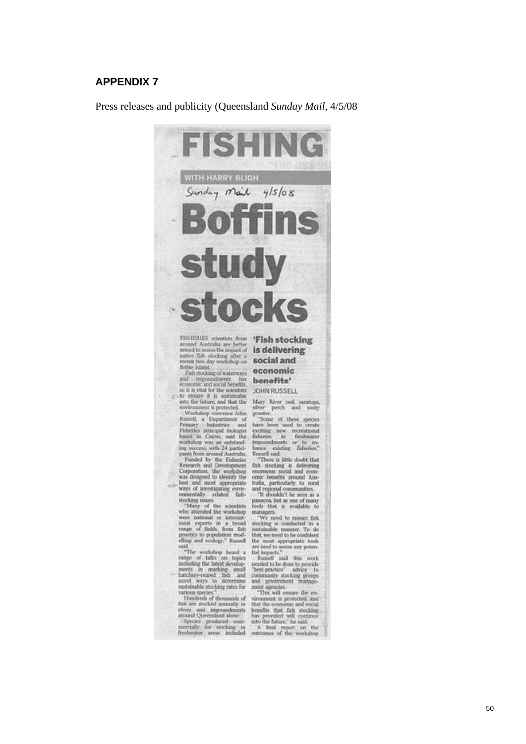Press releases and publicity (Queensland *Sunday Mail*, 4/5/08



**Britis Island**<br> **Exchanged vaterways**<br> **economic**<br> **and** impoundments has<br> **benefits'**<br>
so it is vital for the scientists<br>
JOHN RUSSELL

economic and social benefits. **SERVE THEST**<br>
so it is with for the scientists JOHN RUSSELL to the future, and that the Mary River cod, nantopa, environment is protected.<br>
in the future, and that the Mary River cod, nantop

 $-1$ 

said

said<br>
"The workshop heard a<br>
range of talks on topics<br>
including the latest develop-<br>
ments m<br>
marking small<br>
tatchery-reared fish and<br>
novel ways to determine<br>
sustainable stocking rates for<br>
various species."

various species."<br>Hundreds of thousands of<br>fish are stocked annually in Fundreds of thousands of vironment is protected, and<br>fish are stocked annually in that the economic and social<br>fivers and impoundments benefits that fish stocking<br>around Queensland alone. has provided will continue<br>count Q

and government management agencies.<br>This will ensure the en-

tools that is available to<br>managers. The conducted in a such<br>associated in a such specifically examinated in a such that, we need to be confident<br>the monot appropriate tools the most appropriate tools<br>at the most appropria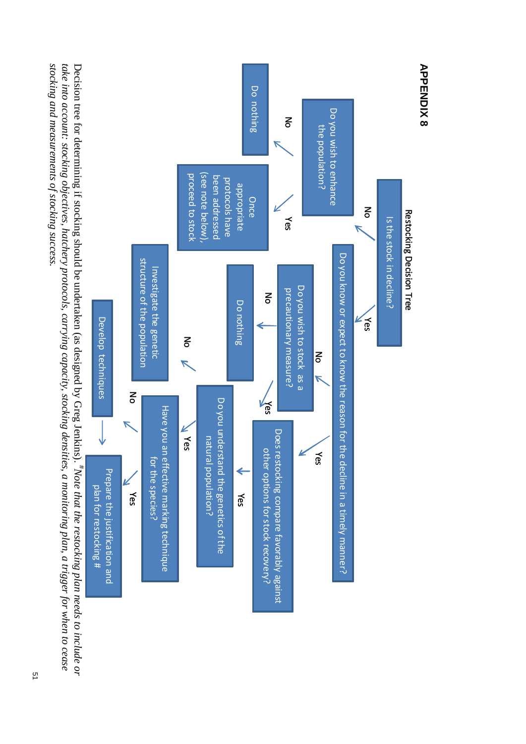<span id="page-51-0"></span>stocking and measurements of stocking success. take into account: stocking objectives, hatchery protocols, carrying capacity, stocking densities, a monitoring plan, a trigger for when to cease Decision tree for determining if stocking should be undertaken (as designed by Greg Jenkins). "Note that the restocking plan needs to include or *stocking and measurements of stocking success. take into account: stocking objectives, hatchery protocols, carrying capacity, stocking densities, a monitoring plan, a trigger for when to cease*  Decision tree for determining if stocking should be undertaken (as designed by Greg Jenkins). #*Note that the restocking plan needs to include or*